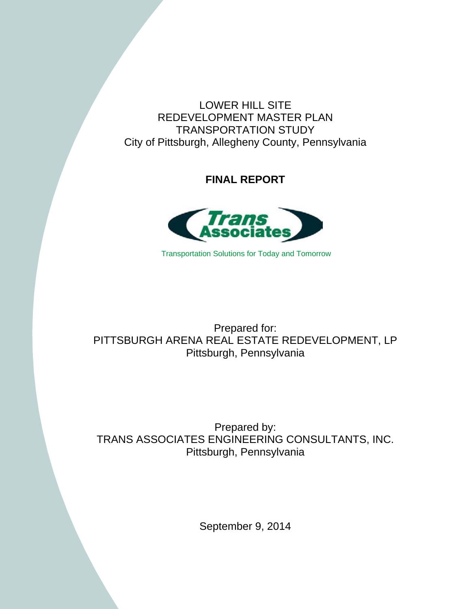LOWER HILL SITE REDEVELOPMENT MASTER PLAN TRANSPORTATION STUDY City of Pittsburgh, Allegheny County, Pennsylvania

**FINAL REPORT** 



Transportation Solutions for Today and Tomorrow

# Prepared for: PITTSBURGH ARENA REAL ESTATE REDEVELOPMENT, LP Pittsburgh, Pennsylvania

Prepared by: TRANS ASSOCIATES ENGINEERING CONSULTANTS, INC. Pittsburgh, Pennsylvania

September 9, 2014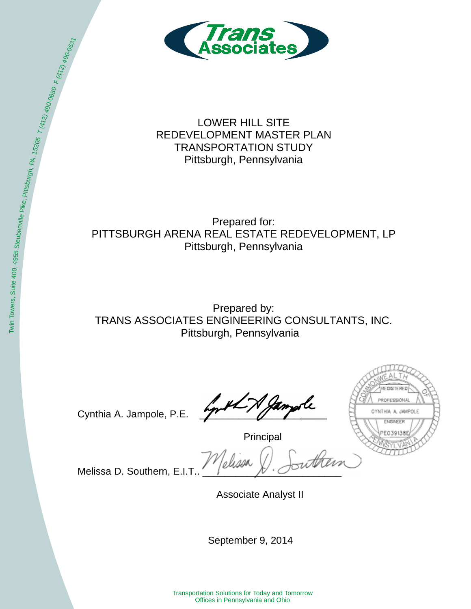

LOWER HILL SITE REDEVELOPMENT MASTER PLAN TRANSPORTATION STUDY Pittsburgh, Pennsylvania

Prepared for: PITTSBURGH ARENA REAL ESTATE REDEVELOPMENT, LP Pittsburgh, Pennsylvania

Prepared by: TRANS ASSOCIATES ENGINEERING CONSULTANTS, INC. Pittsburgh, Pennsylvania

Cynthia A. Jampole, P.E.

**ISTERED** ROFESSIONAL CYNTHIA A. JAMPOLE ENGINEER

Principal

Melissa D. Southern, E.I.T.

Associate Analyst II

September 9, 2014

Transportation Solutions for Today and Tomorrow Offices in Pennsylvania and Ohio

Pike, Pittsburg

h, PA 15205

 $\frac{1}{1}$ (412) 490-0630

 $F(472)$ 

490-0631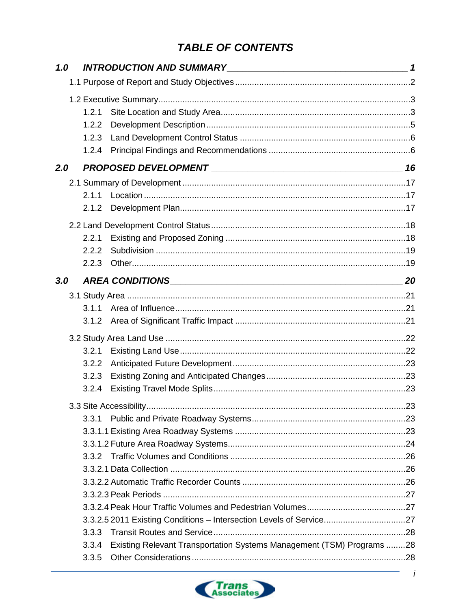# **TABLE OF CONTENTS**

| 1.0 |                                                                                |  |
|-----|--------------------------------------------------------------------------------|--|
|     |                                                                                |  |
|     |                                                                                |  |
|     | 1.2.1                                                                          |  |
|     | 1.2.2                                                                          |  |
|     | 1.2.3                                                                          |  |
|     | 1.2.4                                                                          |  |
| 2.0 |                                                                                |  |
|     |                                                                                |  |
|     | 2.1.1                                                                          |  |
|     | 2.1.2                                                                          |  |
|     |                                                                                |  |
|     | 2.2.1                                                                          |  |
|     | 222                                                                            |  |
|     | 2.2.3                                                                          |  |
| 3.0 |                                                                                |  |
|     |                                                                                |  |
|     | 3.1.1                                                                          |  |
|     | 3.1.2                                                                          |  |
|     |                                                                                |  |
|     | 3.2.1                                                                          |  |
|     | 3.2.2                                                                          |  |
|     | 3.2.3                                                                          |  |
|     | 3.2.4                                                                          |  |
|     |                                                                                |  |
|     | 3.3.1                                                                          |  |
|     |                                                                                |  |
|     |                                                                                |  |
|     |                                                                                |  |
|     |                                                                                |  |
|     |                                                                                |  |
|     |                                                                                |  |
|     |                                                                                |  |
|     | 3.3.2.5 2011 Existing Conditions - Intersection Levels of Service27            |  |
|     | 3.3.3                                                                          |  |
|     | Existing Relevant Transportation Systems Management (TSM) Programs 28<br>3.3.4 |  |
|     | 3.3.5                                                                          |  |

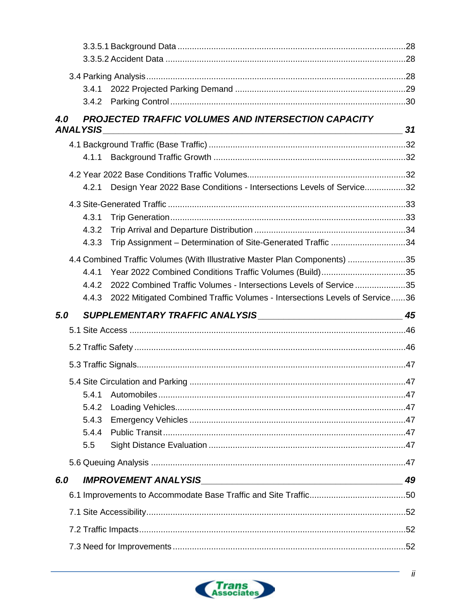|     | 3.4.1           |                                                                                                                                                                         |    |
|-----|-----------------|-------------------------------------------------------------------------------------------------------------------------------------------------------------------------|----|
|     | 3.4.2           |                                                                                                                                                                         |    |
| 4.0 | <b>ANALYSIS</b> | PROJECTED TRAFFIC VOLUMES AND INTERSECTION CAPACITY<br>and the control of the control of the control of the control of the control of the control of the control of the | 31 |
|     |                 |                                                                                                                                                                         |    |
|     | 4.1.1           |                                                                                                                                                                         |    |
|     |                 |                                                                                                                                                                         |    |
|     | 4.2.1           | Design Year 2022 Base Conditions - Intersections Levels of Service32                                                                                                    |    |
|     |                 |                                                                                                                                                                         |    |
|     | 4.3.1           |                                                                                                                                                                         |    |
|     | 4.3.2           |                                                                                                                                                                         |    |
|     | 4.3.3           | Trip Assignment - Determination of Site-Generated Traffic 34                                                                                                            |    |
|     |                 | 4.4 Combined Traffic Volumes (With Illustrative Master Plan Components) 35                                                                                              |    |
|     | 4.4.1           | Year 2022 Combined Conditions Traffic Volumes (Build)35                                                                                                                 |    |
|     | 4.4.2           | 2022 Combined Traffic Volumes - Intersections Levels of Service 35                                                                                                      |    |
|     | 4.4.3           | 2022 Mitigated Combined Traffic Volumes - Intersections Levels of Service36                                                                                             |    |
| 5.0 |                 |                                                                                                                                                                         | 45 |
|     |                 |                                                                                                                                                                         |    |
|     |                 |                                                                                                                                                                         |    |
|     |                 |                                                                                                                                                                         |    |
|     |                 |                                                                                                                                                                         |    |
|     | 5.4.1           |                                                                                                                                                                         |    |
|     | 5.4.2           |                                                                                                                                                                         |    |
|     | 5.4.3           |                                                                                                                                                                         |    |
|     | 5.4.4           |                                                                                                                                                                         |    |
|     | 5.5             |                                                                                                                                                                         |    |
|     |                 |                                                                                                                                                                         |    |
| 6.0 |                 | <b>IMPROVEMENT ANALYSIS</b><br><u> 1989 - Johann John Stein, marwolaeth a bhannaich an t-Amhain an t-Amhain an t-Amhain an t-Amhain an t-Amhain</u>                     | 49 |
|     |                 |                                                                                                                                                                         |    |
|     |                 |                                                                                                                                                                         |    |
|     |                 |                                                                                                                                                                         |    |
|     |                 |                                                                                                                                                                         |    |

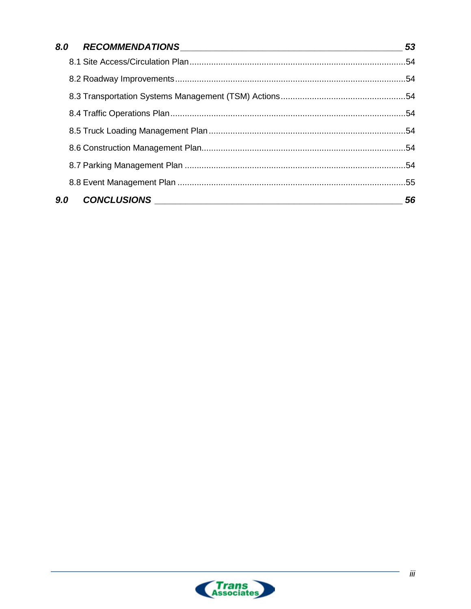|     | 8.0 RECOMMENDATIONS 53  |    |
|-----|-------------------------|----|
|     |                         |    |
|     |                         |    |
|     |                         |    |
|     |                         |    |
|     |                         |    |
|     |                         |    |
|     |                         |    |
|     |                         |    |
| 9.0 | CONCLUSIONS CONCLUSIONS | 56 |

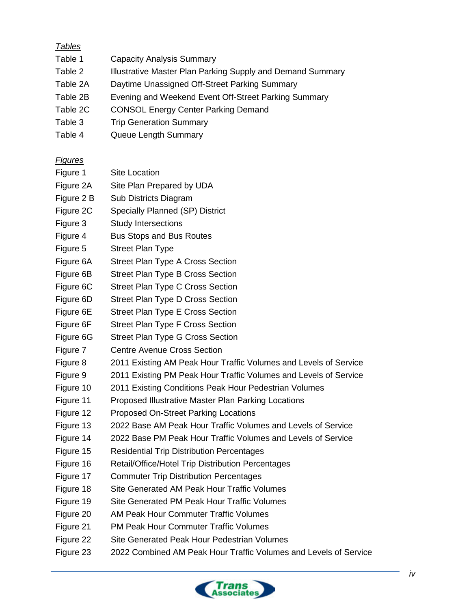# *Tables*

- Table 1 Capacity Analysis Summary
- Table 2 **Illustrative Master Plan Parking Supply and Demand Summary**
- Table 2A Daytime Unassigned Off-Street Parking Summary
- Table 2B Evening and Weekend Event Off-Street Parking Summary
- Table 2C CONSOL Energy Center Parking Demand
- Table 3 Trip Generation Summary
- Table 4 Queue Length Summary

# *Figures*

- Figure 1 Site Location
- Figure 2A Site Plan Prepared by UDA
- Figure 2 B Sub Districts Diagram
- Figure 2C Specially Planned (SP) District
- Figure 3 Study Intersections
- Figure 4 Bus Stops and Bus Routes
- Figure 5 Street Plan Type
- Figure 6A Street Plan Type A Cross Section
- Figure 6B Street Plan Type B Cross Section
- Figure 6C Street Plan Type C Cross Section
- Figure 6D Street Plan Type D Cross Section
- Figure 6E Street Plan Type E Cross Section
- Figure 6F Street Plan Type F Cross Section
- Figure 6G Street Plan Type G Cross Section
- Figure 7 Centre Avenue Cross Section
- Figure 8 2011 Existing AM Peak Hour Traffic Volumes and Levels of Service
- Figure 9 2011 Existing PM Peak Hour Traffic Volumes and Levels of Service
- Figure 10 2011 Existing Conditions Peak Hour Pedestrian Volumes
- Figure 11 Proposed Illustrative Master Plan Parking Locations
- Figure 12 Proposed On-Street Parking Locations
- Figure 13 2022 Base AM Peak Hour Traffic Volumes and Levels of Service
- Figure 14 2022 Base PM Peak Hour Traffic Volumes and Levels of Service
- Figure 15 Residential Trip Distribution Percentages
- Figure 16 Retail/Office/Hotel Trip Distribution Percentages
- Figure 17 Commuter Trip Distribution Percentages
- Figure 18 Site Generated AM Peak Hour Traffic Volumes
- Figure 19 Site Generated PM Peak Hour Traffic Volumes
- Figure 20 AM Peak Hour Commuter Traffic Volumes
- Figure 21 PM Peak Hour Commuter Traffic Volumes
- Figure 22 Site Generated Peak Hour Pedestrian Volumes
- Figure 23 2022 Combined AM Peak Hour Traffic Volumes and Levels of Service

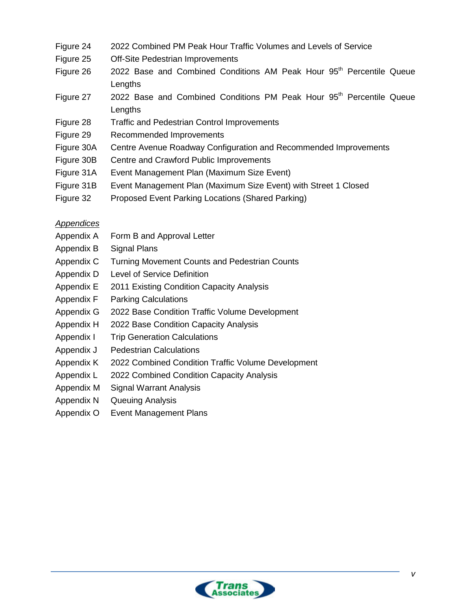- Figure 24 2022 Combined PM Peak Hour Traffic Volumes and Levels of Service
- Figure 25 Off-Site Pedestrian Improvements
- Figure  $26$  2022 Base and Combined Conditions AM Peak Hour  $95<sup>th</sup>$  Percentile Queue **Lengths**
- Figure  $27$  2022 Base and Combined Conditions PM Peak Hour  $95<sup>th</sup>$  Percentile Queue **Lengths**
- Figure 28 Traffic and Pedestrian Control Improvements
- Figure 29 Recommended Improvements
- Figure 30A Centre Avenue Roadway Configuration and Recommended Improvements
- Figure 30B Centre and Crawford Public Improvements
- Figure 31A Event Management Plan (Maximum Size Event)
- Figure 31B Event Management Plan (Maximum Size Event) with Street 1 Closed
- Figure 32 Proposed Event Parking Locations (Shared Parking)

#### *Appendices*

- Appendix A Form B and Approval Letter
- Appendix B Signal Plans
- Appendix C Turning Movement Counts and Pedestrian Counts
- Appendix D Level of Service Definition
- Appendix E 2011 Existing Condition Capacity Analysis
- Appendix F Parking Calculations
- Appendix G 2022 Base Condition Traffic Volume Development
- Appendix H 2022 Base Condition Capacity Analysis
- Appendix I Trip Generation Calculations
- Appendix J Pedestrian Calculations
- Appendix K 2022 Combined Condition Traffic Volume Development
- Appendix L 2022 Combined Condition Capacity Analysis
- Appendix M Signal Warrant Analysis
- Appendix N Queuing Analysis
- Appendix O Event Management Plans

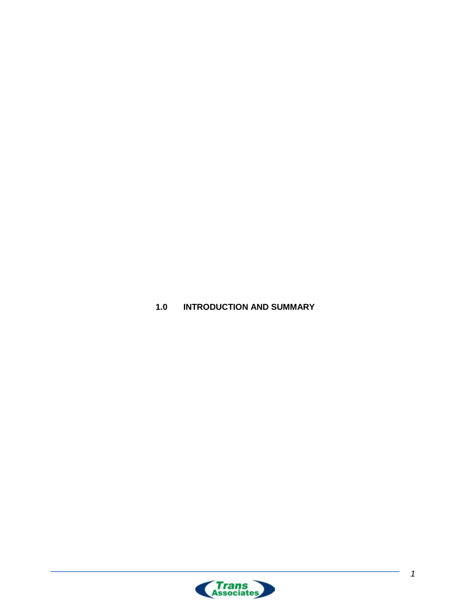<span id="page-7-0"></span>**1.0 INTRODUCTION AND SUMMARY**

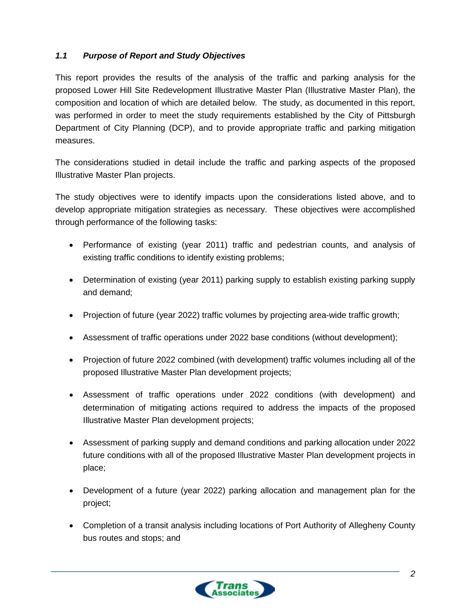### <span id="page-8-0"></span>*1.1 Purpose of Report and Study Objectives*

This report provides the results of the analysis of the traffic and parking analysis for the proposed Lower Hill Site Redevelopment Illustrative Master Plan (Illustrative Master Plan), the composition and location of which are detailed below. The study, as documented in this report, was performed in order to meet the study requirements established by the City of Pittsburgh Department of City Planning (DCP), and to provide appropriate traffic and parking mitigation measures.

The considerations studied in detail include the traffic and parking aspects of the proposed Illustrative Master Plan projects.

The study objectives were to identify impacts upon the considerations listed above, and to develop appropriate mitigation strategies as necessary. These objectives were accomplished through performance of the following tasks:

- Performance of existing (year 2011) traffic and pedestrian counts, and analysis of existing traffic conditions to identify existing problems;
- Determination of existing (year 2011) parking supply to establish existing parking supply and demand;
- Projection of future (year 2022) traffic volumes by projecting area-wide traffic growth;
- Assessment of traffic operations under 2022 base conditions (without development);
- Projection of future 2022 combined (with development) traffic volumes including all of the proposed Illustrative Master Plan development projects;
- Assessment of traffic operations under 2022 conditions (with development) and determination of mitigating actions required to address the impacts of the proposed Illustrative Master Plan development projects;
- Assessment of parking supply and demand conditions and parking allocation under 2022 future conditions with all of the proposed Illustrative Master Plan development projects in place;
- Development of a future (year 2022) parking allocation and management plan for the project;
- Completion of a transit analysis including locations of Port Authority of Allegheny County bus routes and stops; and

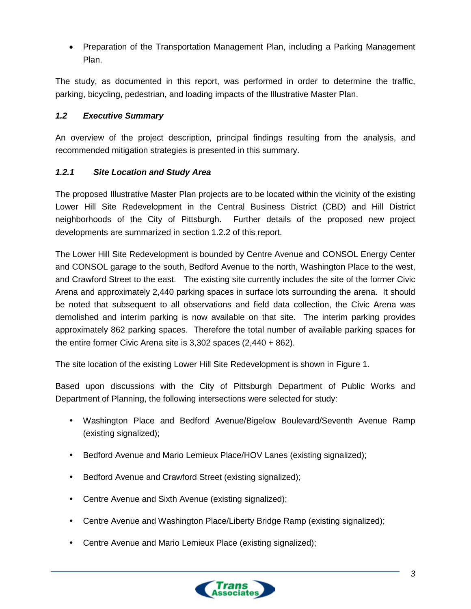• Preparation of the Transportation Management Plan, including a Parking Management Plan.

The study, as documented in this report, was performed in order to determine the traffic, parking, bicycling, pedestrian, and loading impacts of the Illustrative Master Plan.

### <span id="page-9-0"></span>*1.2 Executive Summary*

An overview of the project description, principal findings resulting from the analysis, and recommended mitigation strategies is presented in this summary.

### <span id="page-9-1"></span>*1.2.1 Site Location and Study Area*

The proposed Illustrative Master Plan projects are to be located within the vicinity of the existing Lower Hill Site Redevelopment in the Central Business District (CBD) and Hill District neighborhoods of the City of Pittsburgh. Further details of the proposed new project developments are summarized in section 1.2.2 of this report.

The Lower Hill Site Redevelopment is bounded by Centre Avenue and CONSOL Energy Center and CONSOL garage to the south, Bedford Avenue to the north, Washington Place to the west, and Crawford Street to the east. The existing site currently includes the site of the former Civic Arena and approximately 2,440 parking spaces in surface lots surrounding the arena. It should be noted that subsequent to all observations and field data collection, the Civic Arena was demolished and interim parking is now available on that site. The interim parking provides approximately 862 parking spaces. Therefore the total number of available parking spaces for the entire former Civic Arena site is 3,302 spaces (2,440 + 862).

The site location of the existing Lower Hill Site Redevelopment is shown in Figure 1.

Based upon discussions with the City of Pittsburgh Department of Public Works and Department of Planning, the following intersections were selected for study:

- Washington Place and Bedford Avenue/Bigelow Boulevard/Seventh Avenue Ramp (existing signalized);
- Bedford Avenue and Mario Lemieux Place/HOV Lanes (existing signalized);
- Bedford Avenue and Crawford Street (existing signalized);
- Centre Avenue and Sixth Avenue (existing signalized);
- Centre Avenue and Washington Place/Liberty Bridge Ramp (existing signalized);
- Centre Avenue and Mario Lemieux Place (existing signalized);

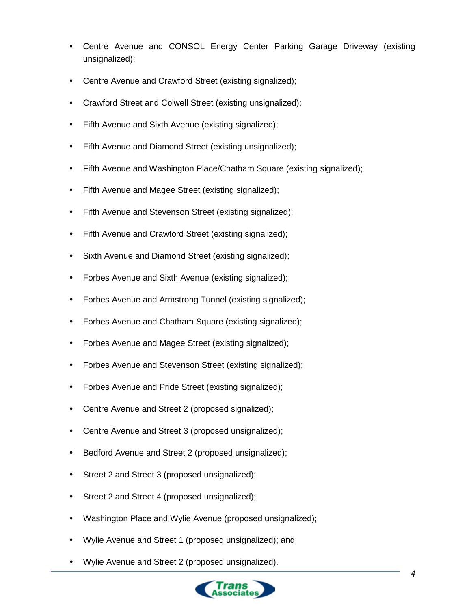- Centre Avenue and CONSOL Energy Center Parking Garage Driveway (existing unsignalized);
- Centre Avenue and Crawford Street (existing signalized);
- Crawford Street and Colwell Street (existing unsignalized);
- Fifth Avenue and Sixth Avenue (existing signalized);
- Fifth Avenue and Diamond Street (existing unsignalized);
- Fifth Avenue and Washington Place/Chatham Square (existing signalized);
- Fifth Avenue and Magee Street (existing signalized);
- Fifth Avenue and Stevenson Street (existing signalized);
- Fifth Avenue and Crawford Street (existing signalized);
- Sixth Avenue and Diamond Street (existing signalized);
- Forbes Avenue and Sixth Avenue (existing signalized);
- Forbes Avenue and Armstrong Tunnel (existing signalized);
- Forbes Avenue and Chatham Square (existing signalized);
- Forbes Avenue and Magee Street (existing signalized);
- Forbes Avenue and Stevenson Street (existing signalized);
- Forbes Avenue and Pride Street (existing signalized);
- Centre Avenue and Street 2 (proposed signalized);
- Centre Avenue and Street 3 (proposed unsignalized);
- Bedford Avenue and Street 2 (proposed unsignalized);
- Street 2 and Street 3 (proposed unsignalized);
- Street 2 and Street 4 (proposed unsignalized);
- Washington Place and Wylie Avenue (proposed unsignalized);
- Wylie Avenue and Street 1 (proposed unsignalized); and
- Wylie Avenue and Street 2 (proposed unsignalized).

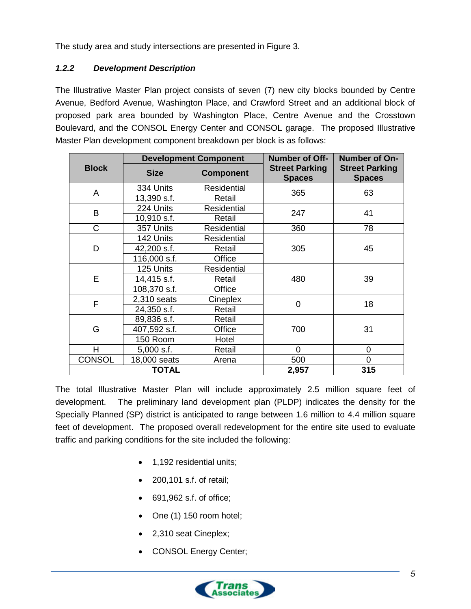The study area and study intersections are presented in Figure 3.

# <span id="page-11-0"></span>*1.2.2 Development Description*

The Illustrative Master Plan project consists of seven (7) new city blocks bounded by Centre Avenue, Bedford Avenue, Washington Place, and Crawford Street and an additional block of proposed park area bounded by Washington Place, Centre Avenue and the Crosstown Boulevard, and the CONSOL Energy Center and CONSOL garage. The proposed Illustrative Master Plan development component breakdown per block is as follows:

|               | <b>Development Component</b> |                    | <b>Number of Off-</b>                  | Number of On-                          |
|---------------|------------------------------|--------------------|----------------------------------------|----------------------------------------|
| <b>Block</b>  | <b>Size</b>                  | <b>Component</b>   | <b>Street Parking</b><br><b>Spaces</b> | <b>Street Parking</b><br><b>Spaces</b> |
| A             | 334 Units                    | <b>Residential</b> | 365                                    | 63                                     |
|               | 13,390 s.f.                  | Retail             |                                        |                                        |
| B             | 224 Units                    | Residential        | 247                                    | 41                                     |
|               | 10,910 s.f.                  | Retail             |                                        |                                        |
| C             | 357 Units                    | <b>Residential</b> | 360                                    | 78                                     |
|               | 142 Units                    | <b>Residential</b> | 305                                    | 45                                     |
| D             | 42,200 s.f.                  | Retail             |                                        |                                        |
|               | 116,000 s.f.                 | Office             |                                        |                                        |
|               | 125 Units                    | <b>Residential</b> | 480                                    | 39                                     |
| E             | 14,415 s.f.                  | Retail             |                                        |                                        |
|               | 108,370 s.f.                 | Office             |                                        |                                        |
| F             | 2,310 seats                  | Cineplex           | $\overline{0}$                         | 18                                     |
|               | 24,350 s.f.                  | Retail             |                                        |                                        |
|               | 89,836 s.f.                  | Retail             | 700                                    |                                        |
| G             | 407,592 s.f.                 | Office             |                                        | 31                                     |
|               | 150 Room                     | Hotel              |                                        |                                        |
| H             | $5,000$ s.f.                 | Retail             | $\Omega$                               | 0                                      |
| <b>CONSOL</b> | 18,000 seats                 | Arena              | 500                                    | 0                                      |
|               | <b>TOTAL</b>                 |                    | 2,957                                  | 315                                    |

The total Illustrative Master Plan will include approximately 2.5 million square feet of development. The preliminary land development plan (PLDP) indicates the density for the Specially Planned (SP) district is anticipated to range between 1.6 million to 4.4 million square feet of development. The proposed overall redevelopment for the entire site used to evaluate traffic and parking conditions for the site included the following:

- 1,192 residential units;
- 200,101 s.f. of retail;
- 691,962 s.f. of office;
- One (1) 150 room hotel;
- 2,310 seat Cineplex;
- CONSOL Energy Center;

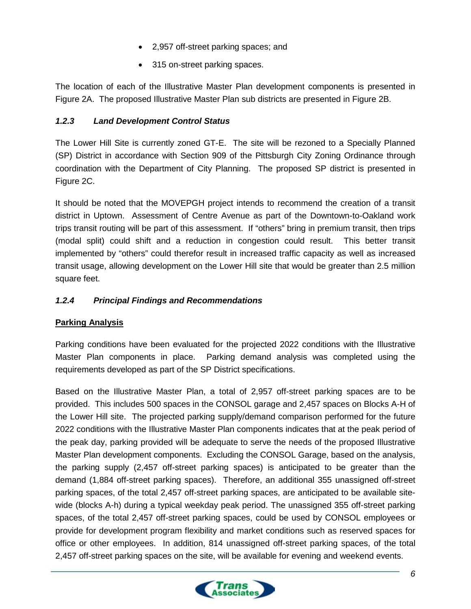- 2,957 off-street parking spaces; and
- 315 on-street parking spaces.

The location of each of the Illustrative Master Plan development components is presented in Figure 2A. The proposed Illustrative Master Plan sub districts are presented in Figure 2B.

### <span id="page-12-0"></span>*1.2.3 Land Development Control Status*

The Lower Hill Site is currently zoned GT-E. The site will be rezoned to a Specially Planned (SP) District in accordance with Section 909 of the Pittsburgh City Zoning Ordinance through coordination with the Department of City Planning. The proposed SP district is presented in Figure 2C.

It should be noted that the MOVEPGH project intends to recommend the creation of a transit district in Uptown. Assessment of Centre Avenue as part of the Downtown-to-Oakland work trips transit routing will be part of this assessment. If "others" bring in premium transit, then trips (modal split) could shift and a reduction in congestion could result. This better transit implemented by "others" could therefor result in increased traffic capacity as well as increased transit usage, allowing development on the Lower Hill site that would be greater than 2.5 million square feet.

# <span id="page-12-1"></span>*1.2.4 Principal Findings and Recommendations*

### **Parking Analysis**

Parking conditions have been evaluated for the projected 2022 conditions with the Illustrative Master Plan components in place. Parking demand analysis was completed using the requirements developed as part of the SP District specifications.

Based on the Illustrative Master Plan, a total of 2,957 off-street parking spaces are to be provided. This includes 500 spaces in the CONSOL garage and 2,457 spaces on Blocks A-H of the Lower Hill site. The projected parking supply/demand comparison performed for the future 2022 conditions with the Illustrative Master Plan components indicates that at the peak period of the peak day, parking provided will be adequate to serve the needs of the proposed Illustrative Master Plan development components. Excluding the CONSOL Garage, based on the analysis, the parking supply (2,457 off-street parking spaces) is anticipated to be greater than the demand (1,884 off-street parking spaces). Therefore, an additional 355 unassigned off-street parking spaces, of the total 2,457 off-street parking spaces, are anticipated to be available sitewide (blocks A-h) during a typical weekday peak period. The unassigned 355 off-street parking spaces, of the total 2,457 off-street parking spaces, could be used by CONSOL employees or provide for development program flexibility and market conditions such as reserved spaces for office or other employees. In addition, 814 unassigned off-street parking spaces, of the total 2,457 off-street parking spaces on the site, will be available for evening and weekend events.

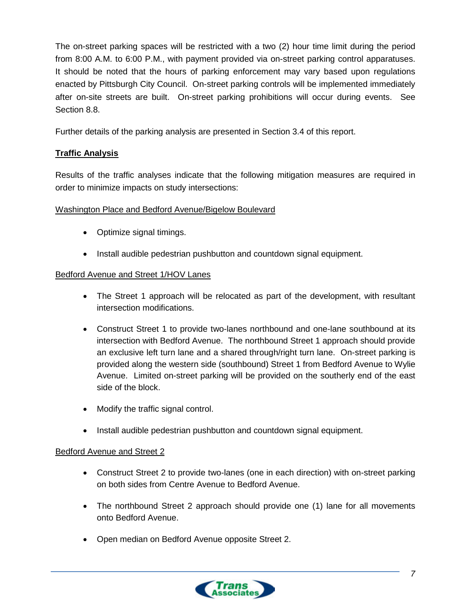The on-street parking spaces will be restricted with a two (2) hour time limit during the period from 8:00 A.M. to 6:00 P.M., with payment provided via on-street parking control apparatuses. It should be noted that the hours of parking enforcement may vary based upon regulations enacted by Pittsburgh City Council. On-street parking controls will be implemented immediately after on-site streets are built. On-street parking prohibitions will occur during events. See Section 8.8.

Further details of the parking analysis are presented in Section 3.4 of this report.

### **Traffic Analysis**

Results of the traffic analyses indicate that the following mitigation measures are required in order to minimize impacts on study intersections:

### Washington Place and Bedford Avenue/Bigelow Boulevard

- Optimize signal timings.
- Install audible pedestrian pushbutton and countdown signal equipment.

#### Bedford Avenue and Street 1/HOV Lanes

- The Street 1 approach will be relocated as part of the development, with resultant intersection modifications.
- Construct Street 1 to provide two-lanes northbound and one-lane southbound at its intersection with Bedford Avenue. The northbound Street 1 approach should provide an exclusive left turn lane and a shared through/right turn lane. On-street parking is provided along the western side (southbound) Street 1 from Bedford Avenue to Wylie Avenue. Limited on-street parking will be provided on the southerly end of the east side of the block.
- Modify the traffic signal control.
- Install audible pedestrian pushbutton and countdown signal equipment.

#### Bedford Avenue and Street 2

- Construct Street 2 to provide two-lanes (one in each direction) with on-street parking on both sides from Centre Avenue to Bedford Avenue.
- The northbound Street 2 approach should provide one (1) lane for all movements onto Bedford Avenue.
- Open median on Bedford Avenue opposite Street 2.

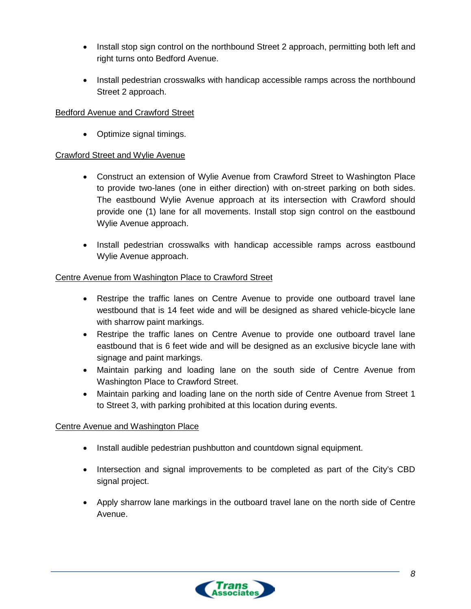- Install stop sign control on the northbound Street 2 approach, permitting both left and right turns onto Bedford Avenue.
- Install pedestrian crosswalks with handicap accessible ramps across the northbound Street 2 approach.

### Bedford Avenue and Crawford Street

• Optimize signal timings.

### Crawford Street and Wylie Avenue

- Construct an extension of Wylie Avenue from Crawford Street to Washington Place to provide two-lanes (one in either direction) with on-street parking on both sides. The eastbound Wylie Avenue approach at its intersection with Crawford should provide one (1) lane for all movements. Install stop sign control on the eastbound Wylie Avenue approach.
- Install pedestrian crosswalks with handicap accessible ramps across eastbound Wylie Avenue approach.

### Centre Avenue from Washington Place to Crawford Street

- Restripe the traffic lanes on Centre Avenue to provide one outboard travel lane westbound that is 14 feet wide and will be designed as shared vehicle-bicycle lane with sharrow paint markings.
- Restripe the traffic lanes on Centre Avenue to provide one outboard travel lane eastbound that is 6 feet wide and will be designed as an exclusive bicycle lane with signage and paint markings.
- Maintain parking and loading lane on the south side of Centre Avenue from Washington Place to Crawford Street.
- Maintain parking and loading lane on the north side of Centre Avenue from Street 1 to Street 3, with parking prohibited at this location during events.

### Centre Avenue and Washington Place

- Install audible pedestrian pushbutton and countdown signal equipment.
- Intersection and signal improvements to be completed as part of the City's CBD signal project.
- Apply sharrow lane markings in the outboard travel lane on the north side of Centre Avenue.

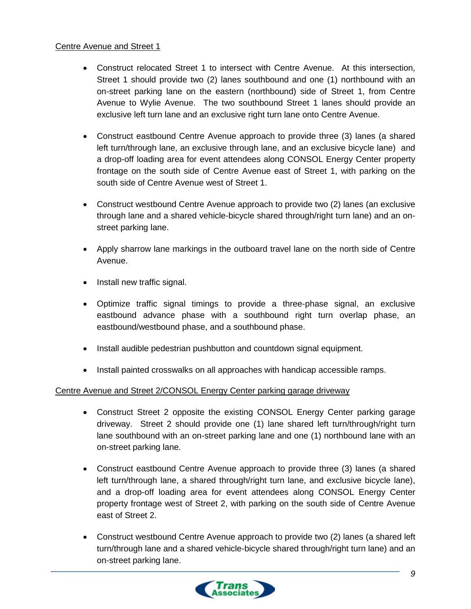#### Centre Avenue and Street 1

- Construct relocated Street 1 to intersect with Centre Avenue. At this intersection, Street 1 should provide two (2) lanes southbound and one (1) northbound with an on-street parking lane on the eastern (northbound) side of Street 1, from Centre Avenue to Wylie Avenue. The two southbound Street 1 lanes should provide an exclusive left turn lane and an exclusive right turn lane onto Centre Avenue.
- Construct eastbound Centre Avenue approach to provide three (3) lanes (a shared left turn/through lane, an exclusive through lane, and an exclusive bicycle lane) and a drop-off loading area for event attendees along CONSOL Energy Center property frontage on the south side of Centre Avenue east of Street 1, with parking on the south side of Centre Avenue west of Street 1.
- Construct westbound Centre Avenue approach to provide two (2) lanes (an exclusive through lane and a shared vehicle-bicycle shared through/right turn lane) and an onstreet parking lane.
- Apply sharrow lane markings in the outboard travel lane on the north side of Centre Avenue.
- Install new traffic signal.
- Optimize traffic signal timings to provide a three-phase signal, an exclusive eastbound advance phase with a southbound right turn overlap phase, an eastbound/westbound phase, and a southbound phase.
- Install audible pedestrian pushbutton and countdown signal equipment.
- Install painted crosswalks on all approaches with handicap accessible ramps.

### Centre Avenue and Street 2/CONSOL Energy Center parking garage driveway

- Construct Street 2 opposite the existing CONSOL Energy Center parking garage driveway. Street 2 should provide one (1) lane shared left turn/through/right turn lane southbound with an on-street parking lane and one (1) northbound lane with an on-street parking lane.
- Construct eastbound Centre Avenue approach to provide three (3) lanes (a shared left turn/through lane, a shared through/right turn lane, and exclusive bicycle lane), and a drop-off loading area for event attendees along CONSOL Energy Center property frontage west of Street 2, with parking on the south side of Centre Avenue east of Street 2.
- Construct westbound Centre Avenue approach to provide two (2) lanes (a shared left turn/through lane and a shared vehicle-bicycle shared through/right turn lane) and an on-street parking lane.

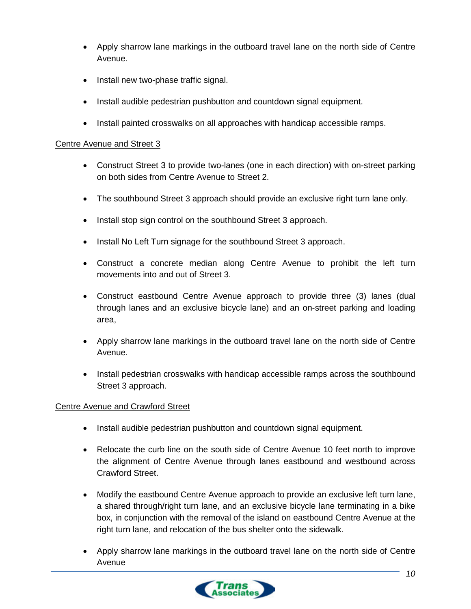- Apply sharrow lane markings in the outboard travel lane on the north side of Centre Avenue.
- Install new two-phase traffic signal.
- Install audible pedestrian pushbutton and countdown signal equipment.
- Install painted crosswalks on all approaches with handicap accessible ramps.

#### Centre Avenue and Street 3

- Construct Street 3 to provide two-lanes (one in each direction) with on-street parking on both sides from Centre Avenue to Street 2.
- The southbound Street 3 approach should provide an exclusive right turn lane only.
- Install stop sign control on the southbound Street 3 approach.
- Install No Left Turn signage for the southbound Street 3 approach.
- Construct a concrete median along Centre Avenue to prohibit the left turn movements into and out of Street 3.
- Construct eastbound Centre Avenue approach to provide three (3) lanes (dual through lanes and an exclusive bicycle lane) and an on-street parking and loading area,
- Apply sharrow lane markings in the outboard travel lane on the north side of Centre Avenue.
- Install pedestrian crosswalks with handicap accessible ramps across the southbound Street 3 approach.

### Centre Avenue and Crawford Street

- Install audible pedestrian pushbutton and countdown signal equipment.
- Relocate the curb line on the south side of Centre Avenue 10 feet north to improve the alignment of Centre Avenue through lanes eastbound and westbound across Crawford Street.
- Modify the eastbound Centre Avenue approach to provide an exclusive left turn lane, a shared through/right turn lane, and an exclusive bicycle lane terminating in a bike box, in conjunction with the removal of the island on eastbound Centre Avenue at the right turn lane, and relocation of the bus shelter onto the sidewalk.
- Apply sharrow lane markings in the outboard travel lane on the north side of Centre Avenue

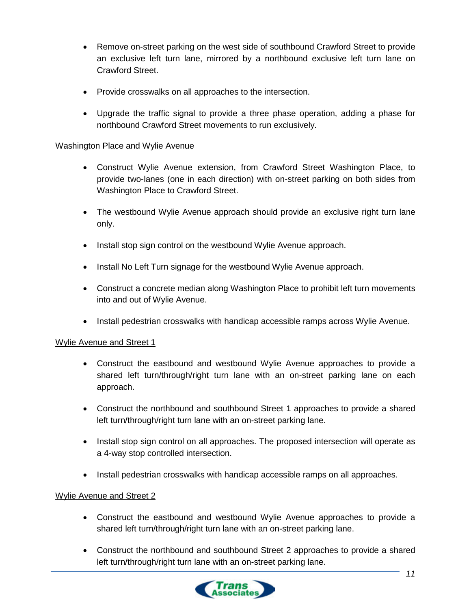- Remove on-street parking on the west side of southbound Crawford Street to provide an exclusive left turn lane, mirrored by a northbound exclusive left turn lane on Crawford Street.
- Provide crosswalks on all approaches to the intersection.
- Upgrade the traffic signal to provide a three phase operation, adding a phase for northbound Crawford Street movements to run exclusively.

#### Washington Place and Wylie Avenue

- Construct Wylie Avenue extension, from Crawford Street Washington Place, to provide two-lanes (one in each direction) with on-street parking on both sides from Washington Place to Crawford Street.
- The westbound Wylie Avenue approach should provide an exclusive right turn lane only.
- Install stop sign control on the westbound Wylie Avenue approach.
- Install No Left Turn signage for the westbound Wylie Avenue approach.
- Construct a concrete median along Washington Place to prohibit left turn movements into and out of Wylie Avenue.
- Install pedestrian crosswalks with handicap accessible ramps across Wylie Avenue.

### Wylie Avenue and Street 1

- Construct the eastbound and westbound Wylie Avenue approaches to provide a shared left turn/through/right turn lane with an on-street parking lane on each approach.
- Construct the northbound and southbound Street 1 approaches to provide a shared left turn/through/right turn lane with an on-street parking lane.
- Install stop sign control on all approaches. The proposed intersection will operate as a 4-way stop controlled intersection.
- Install pedestrian crosswalks with handicap accessible ramps on all approaches.

#### Wylie Avenue and Street 2

- Construct the eastbound and westbound Wylie Avenue approaches to provide a shared left turn/through/right turn lane with an on-street parking lane.
- Construct the northbound and southbound Street 2 approaches to provide a shared left turn/through/right turn lane with an on-street parking lane.

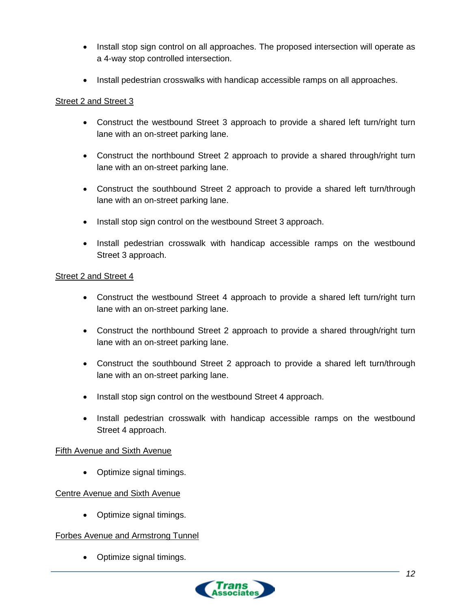- Install stop sign control on all approaches. The proposed intersection will operate as a 4-way stop controlled intersection.
- Install pedestrian crosswalks with handicap accessible ramps on all approaches.

#### Street 2 and Street 3

- Construct the westbound Street 3 approach to provide a shared left turn/right turn lane with an on-street parking lane.
- Construct the northbound Street 2 approach to provide a shared through/right turn lane with an on-street parking lane.
- Construct the southbound Street 2 approach to provide a shared left turn/through lane with an on-street parking lane.
- Install stop sign control on the westbound Street 3 approach.
- Install pedestrian crosswalk with handicap accessible ramps on the westbound Street 3 approach.

#### Street 2 and Street 4

- Construct the westbound Street 4 approach to provide a shared left turn/right turn lane with an on-street parking lane.
- Construct the northbound Street 2 approach to provide a shared through/right turn lane with an on-street parking lane.
- Construct the southbound Street 2 approach to provide a shared left turn/through lane with an on-street parking lane.
- Install stop sign control on the westbound Street 4 approach.
- Install pedestrian crosswalk with handicap accessible ramps on the westbound Street 4 approach.

#### Fifth Avenue and Sixth Avenue

• Optimize signal timings.

### Centre Avenue and Sixth Avenue

• Optimize signal timings.

### Forbes Avenue and Armstrong Tunnel

• Optimize signal timings.

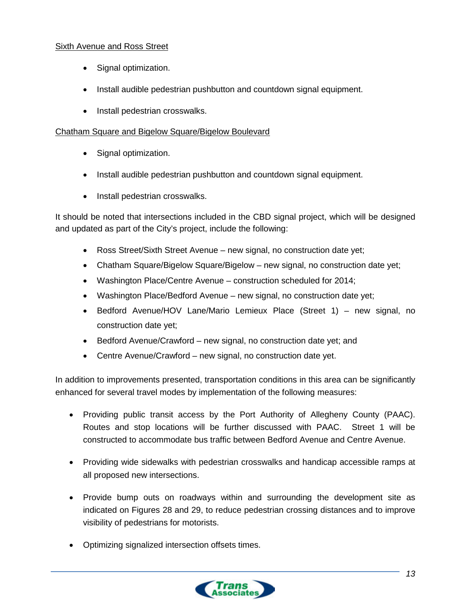### Sixth Avenue and Ross Street

- Signal optimization.
- Install audible pedestrian pushbutton and countdown signal equipment.
- Install pedestrian crosswalks.

#### Chatham Square and Bigelow Square/Bigelow Boulevard

- Signal optimization.
- Install audible pedestrian pushbutton and countdown signal equipment.
- Install pedestrian crosswalks.

It should be noted that intersections included in the CBD signal project, which will be designed and updated as part of the City's project, include the following:

- Ross Street/Sixth Street Avenue new signal, no construction date yet;
- Chatham Square/Bigelow Square/Bigelow new signal, no construction date yet;
- Washington Place/Centre Avenue construction scheduled for 2014;
- Washington Place/Bedford Avenue new signal, no construction date yet;
- Bedford Avenue/HOV Lane/Mario Lemieux Place (Street 1) new signal, no construction date yet;
- Bedford Avenue/Crawford new signal, no construction date yet; and
- Centre Avenue/Crawford new signal, no construction date yet.

In addition to improvements presented, transportation conditions in this area can be significantly enhanced for several travel modes by implementation of the following measures:

- Providing public transit access by the Port Authority of Allegheny County (PAAC). Routes and stop locations will be further discussed with PAAC. Street 1 will be constructed to accommodate bus traffic between Bedford Avenue and Centre Avenue.
- Providing wide sidewalks with pedestrian crosswalks and handicap accessible ramps at all proposed new intersections.
- Provide bump outs on roadways within and surrounding the development site as indicated on Figures 28 and 29, to reduce pedestrian crossing distances and to improve visibility of pedestrians for motorists.
- Optimizing signalized intersection offsets times.

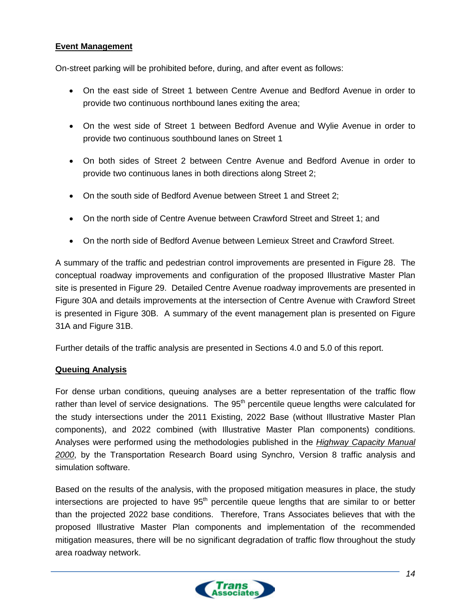### **Event Management**

On-street parking will be prohibited before, during, and after event as follows:

- On the east side of Street 1 between Centre Avenue and Bedford Avenue in order to provide two continuous northbound lanes exiting the area;
- On the west side of Street 1 between Bedford Avenue and Wylie Avenue in order to provide two continuous southbound lanes on Street 1
- On both sides of Street 2 between Centre Avenue and Bedford Avenue in order to provide two continuous lanes in both directions along Street 2;
- On the south side of Bedford Avenue between Street 1 and Street 2;
- On the north side of Centre Avenue between Crawford Street and Street 1; and
- On the north side of Bedford Avenue between Lemieux Street and Crawford Street.

A summary of the traffic and pedestrian control improvements are presented in Figure 28. The conceptual roadway improvements and configuration of the proposed Illustrative Master Plan site is presented in Figure 29. Detailed Centre Avenue roadway improvements are presented in Figure 30A and details improvements at the intersection of Centre Avenue with Crawford Street is presented in Figure 30B. A summary of the event management plan is presented on Figure 31A and Figure 31B.

Further details of the traffic analysis are presented in Sections 4.0 and 5.0 of this report.

### **Queuing Analysis**

For dense urban conditions, queuing analyses are a better representation of the traffic flow rather than level of service designations. The 95<sup>th</sup> percentile queue lengths were calculated for the study intersections under the 2011 Existing, 2022 Base (without Illustrative Master Plan components), and 2022 combined (with Illustrative Master Plan components) conditions. Analyses were performed using the methodologies published in the *Highway Capacity Manual 2000*, by the Transportation Research Board using Synchro, Version 8 traffic analysis and simulation software.

Based on the results of the analysis, with the proposed mitigation measures in place, the study intersections are projected to have  $95<sup>th</sup>$  percentile queue lengths that are similar to or better than the projected 2022 base conditions. Therefore, Trans Associates believes that with the proposed Illustrative Master Plan components and implementation of the recommended mitigation measures, there will be no significant degradation of traffic flow throughout the study area roadway network.

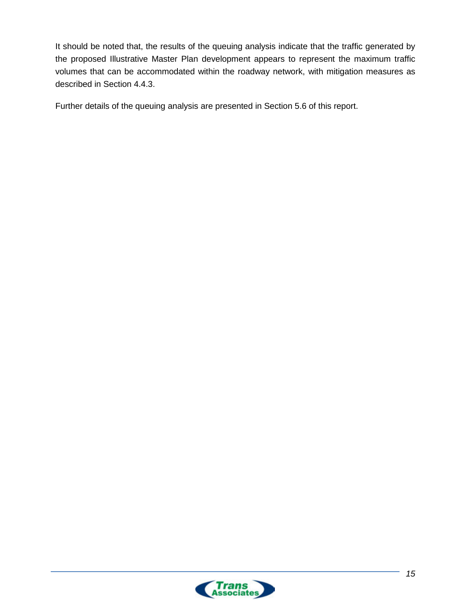It should be noted that, the results of the queuing analysis indicate that the traffic generated by the proposed Illustrative Master Plan development appears to represent the maximum traffic volumes that can be accommodated within the roadway network, with mitigation measures as described in Section 4.4.3.

Further details of the queuing analysis are presented in Section 5.6 of this report.

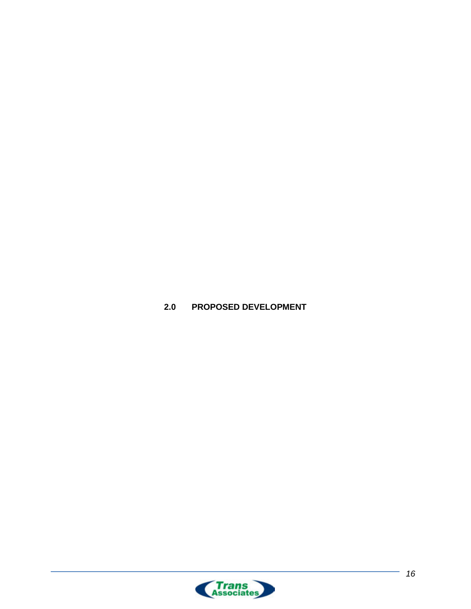

<span id="page-22-0"></span>**2.0 PROPOSED DEVELOPMENT**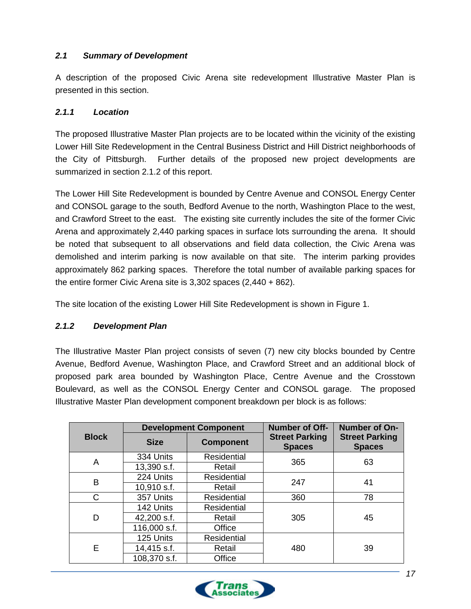### <span id="page-23-0"></span>*2.1 Summary of Development*

A description of the proposed Civic Arena site redevelopment Illustrative Master Plan is presented in this section.

### <span id="page-23-1"></span>*2.1.1 Location*

The proposed Illustrative Master Plan projects are to be located within the vicinity of the existing Lower Hill Site Redevelopment in the Central Business District and Hill District neighborhoods of the City of Pittsburgh. Further details of the proposed new project developments are summarized in section 2.1.2 of this report.

The Lower Hill Site Redevelopment is bounded by Centre Avenue and CONSOL Energy Center and CONSOL garage to the south, Bedford Avenue to the north, Washington Place to the west, and Crawford Street to the east. The existing site currently includes the site of the former Civic Arena and approximately 2,440 parking spaces in surface lots surrounding the arena. It should be noted that subsequent to all observations and field data collection, the Civic Arena was demolished and interim parking is now available on that site. The interim parking provides approximately 862 parking spaces. Therefore the total number of available parking spaces for the entire former Civic Arena site is 3,302 spaces (2,440 + 862).

The site location of the existing Lower Hill Site Redevelopment is shown in Figure 1.

# <span id="page-23-2"></span>*2.1.2 Development Plan*

The Illustrative Master Plan project consists of seven (7) new city blocks bounded by Centre Avenue, Bedford Avenue, Washington Place, and Crawford Street and an additional block of proposed park area bounded by Washington Place, Centre Avenue and the Crosstown Boulevard, as well as the CONSOL Energy Center and CONSOL garage. The proposed Illustrative Master Plan development component breakdown per block is as follows:

|              | <b>Development Component</b> |                    | <b>Number of Off-</b>                  | Number of On-                          |
|--------------|------------------------------|--------------------|----------------------------------------|----------------------------------------|
| <b>Block</b> | <b>Size</b>                  | <b>Component</b>   | <b>Street Parking</b><br><b>Spaces</b> | <b>Street Parking</b><br><b>Spaces</b> |
| A            | 334 Units                    | <b>Residential</b> | 365                                    | 63                                     |
|              | 13,390 s.f.                  | Retail             |                                        |                                        |
| B            | 224 Units                    | <b>Residential</b> | 247                                    | 41                                     |
|              | 10,910 s.f.                  | Retail             |                                        |                                        |
| C            | 357 Units                    | Residential        | 360                                    | 78                                     |
|              | 142 Units                    | <b>Residential</b> | 305                                    | 45                                     |
| D            | 42,200 s.f.                  | Retail             |                                        |                                        |
|              | 116,000 s.f.                 | Office             |                                        |                                        |
|              | 125 Units                    | <b>Residential</b> |                                        |                                        |
| Е            | 14,415 s.f.                  | Retail             | 480                                    | 39                                     |
|              | 108,370 s.f.                 | Office             |                                        |                                        |

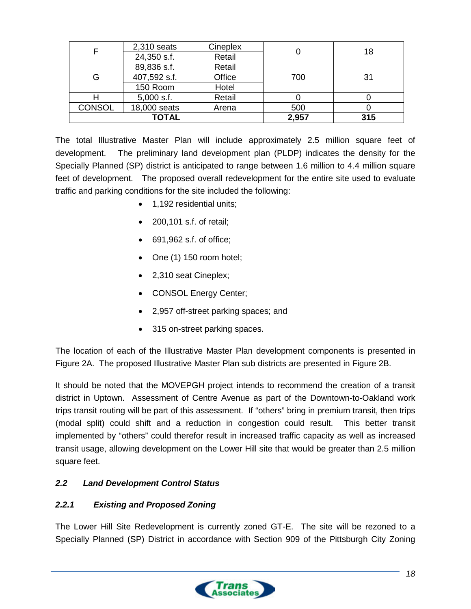|               | $2,310$ seats | Cineplex |       | 18  |
|---------------|---------------|----------|-------|-----|
|               | 24,350 s.f.   | Retail   |       |     |
|               | 89,836 s.f.   | Retail   |       |     |
| G             | 407,592 s.f.  | Office   | 700   | 31  |
|               | 150 Room      | Hotel    |       |     |
|               | $5,000$ s.f.  | Retail   |       |     |
| <b>CONSOL</b> | 18,000 seats  | Arena    | 500   |     |
| <b>TOTAL</b>  |               |          | 2,957 | 315 |

The total Illustrative Master Plan will include approximately 2.5 million square feet of development. The preliminary land development plan (PLDP) indicates the density for the Specially Planned (SP) district is anticipated to range between 1.6 million to 4.4 million square feet of development. The proposed overall redevelopment for the entire site used to evaluate traffic and parking conditions for the site included the following:

- 1,192 residential units;
- 200,101 s.f. of retail;
- 691,962 s.f. of office;
- One (1) 150 room hotel;
- 2,310 seat Cineplex;
- CONSOL Energy Center;
- 2,957 off-street parking spaces; and
- 315 on-street parking spaces.

The location of each of the Illustrative Master Plan development components is presented in Figure 2A. The proposed Illustrative Master Plan sub districts are presented in Figure 2B.

It should be noted that the MOVEPGH project intends to recommend the creation of a transit district in Uptown. Assessment of Centre Avenue as part of the Downtown-to-Oakland work trips transit routing will be part of this assessment. If "others" bring in premium transit, then trips (modal split) could shift and a reduction in congestion could result. This better transit implemented by "others" could therefor result in increased traffic capacity as well as increased transit usage, allowing development on the Lower Hill site that would be greater than 2.5 million square feet.

# <span id="page-24-0"></span>*2.2 Land Development Control Status*

# <span id="page-24-1"></span>*2.2.1 Existing and Proposed Zoning*

The Lower Hill Site Redevelopment is currently zoned GT-E. The site will be rezoned to a Specially Planned (SP) District in accordance with Section 909 of the Pittsburgh City Zoning

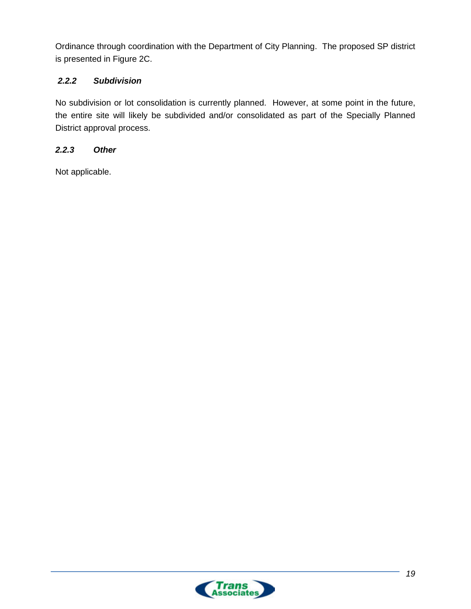Ordinance through coordination with the Department of City Planning. The proposed SP district is presented in Figure 2C.

# <span id="page-25-0"></span>*2.2.2 Subdivision*

No subdivision or lot consolidation is currently planned. However, at some point in the future, the entire site will likely be subdivided and/or consolidated as part of the Specially Planned District approval process.

# <span id="page-25-1"></span>*2.2.3 Other*

Not applicable.

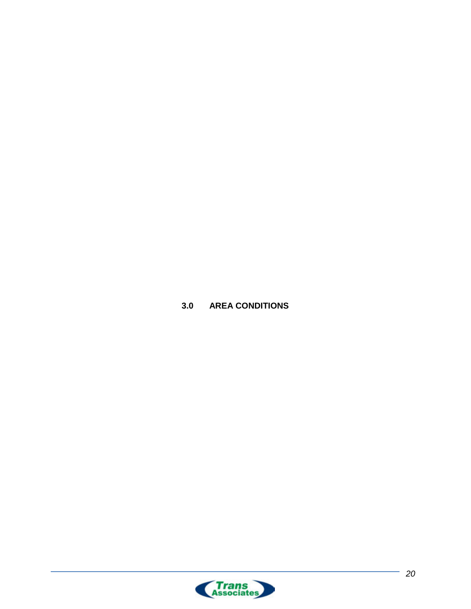<span id="page-26-0"></span>**3.0 AREA CONDITIONS**

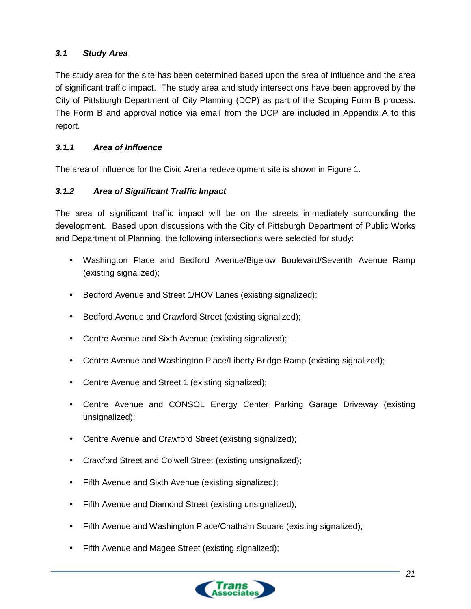# <span id="page-27-0"></span>*3.1 Study Area*

The study area for the site has been determined based upon the area of influence and the area of significant traffic impact. The study area and study intersections have been approved by the City of Pittsburgh Department of City Planning (DCP) as part of the Scoping Form B process. The Form B and approval notice via email from the DCP are included in Appendix A to this report.

# <span id="page-27-1"></span>*3.1.1 Area of Influence*

The area of influence for the Civic Arena redevelopment site is shown in Figure 1.

# <span id="page-27-2"></span>*3.1.2 Area of Significant Traffic Impact*

The area of significant traffic impact will be on the streets immediately surrounding the development. Based upon discussions with the City of Pittsburgh Department of Public Works and Department of Planning, the following intersections were selected for study:

- Washington Place and Bedford Avenue/Bigelow Boulevard/Seventh Avenue Ramp (existing signalized);
- Bedford Avenue and Street 1/HOV Lanes (existing signalized);
- Bedford Avenue and Crawford Street (existing signalized);
- Centre Avenue and Sixth Avenue (existing signalized);
- Centre Avenue and Washington Place/Liberty Bridge Ramp (existing signalized);
- Centre Avenue and Street 1 (existing signalized);
- Centre Avenue and CONSOL Energy Center Parking Garage Driveway (existing unsignalized);
- Centre Avenue and Crawford Street (existing signalized);
- Crawford Street and Colwell Street (existing unsignalized);
- Fifth Avenue and Sixth Avenue (existing signalized);
- Fifth Avenue and Diamond Street (existing unsignalized);
- Fifth Avenue and Washington Place/Chatham Square (existing signalized);
- Fifth Avenue and Magee Street (existing signalized);

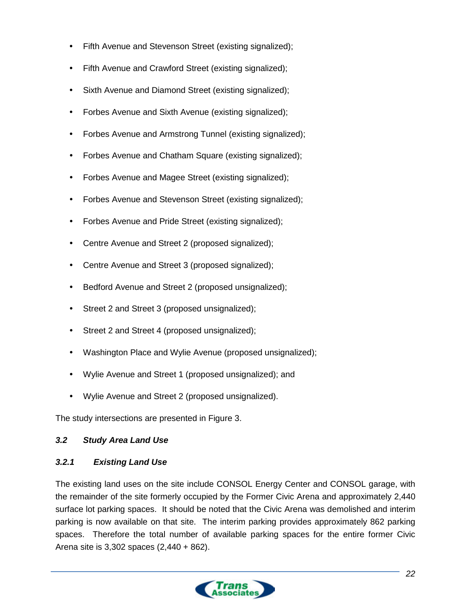- Fifth Avenue and Stevenson Street (existing signalized);
- Fifth Avenue and Crawford Street (existing signalized);
- Sixth Avenue and Diamond Street (existing signalized);
- Forbes Avenue and Sixth Avenue (existing signalized);
- Forbes Avenue and Armstrong Tunnel (existing signalized);
- Forbes Avenue and Chatham Square (existing signalized);
- Forbes Avenue and Magee Street (existing signalized);
- Forbes Avenue and Stevenson Street (existing signalized);
- Forbes Avenue and Pride Street (existing signalized);
- Centre Avenue and Street 2 (proposed signalized);
- Centre Avenue and Street 3 (proposed signalized);
- Bedford Avenue and Street 2 (proposed unsignalized);
- Street 2 and Street 3 (proposed unsignalized);
- Street 2 and Street 4 (proposed unsignalized);
- Washington Place and Wylie Avenue (proposed unsignalized);
- Wylie Avenue and Street 1 (proposed unsignalized); and
- Wylie Avenue and Street 2 (proposed unsignalized).

The study intersections are presented in Figure 3.

### <span id="page-28-0"></span>*3.2 Study Area Land Use*

### <span id="page-28-1"></span>*3.2.1 Existing Land Use*

The existing land uses on the site include CONSOL Energy Center and CONSOL garage, with the remainder of the site formerly occupied by the Former Civic Arena and approximately 2,440 surface lot parking spaces. It should be noted that the Civic Arena was demolished and interim parking is now available on that site. The interim parking provides approximately 862 parking spaces. Therefore the total number of available parking spaces for the entire former Civic Arena site is 3,302 spaces (2,440 + 862).

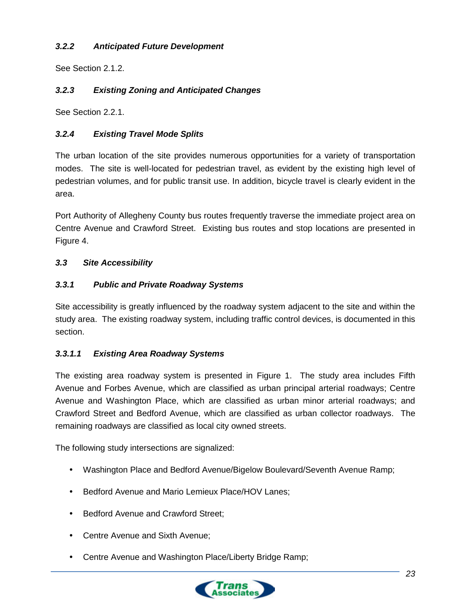# <span id="page-29-0"></span>*3.2.2 Anticipated Future Development*

See Section 2.1.2.

# <span id="page-29-1"></span>*3.2.3 Existing Zoning and Anticipated Changes*

See Section 2.2.1.

### <span id="page-29-2"></span>*3.2.4 Existing Travel Mode Splits*

The urban location of the site provides numerous opportunities for a variety of transportation modes. The site is well-located for pedestrian travel, as evident by the existing high level of pedestrian volumes, and for public transit use. In addition, bicycle travel is clearly evident in the area.

Port Authority of Allegheny County bus routes frequently traverse the immediate project area on Centre Avenue and Crawford Street. Existing bus routes and stop locations are presented in Figure 4.

### <span id="page-29-3"></span>*3.3 Site Accessibility*

#### <span id="page-29-4"></span>*3.3.1 Public and Private Roadway Systems*

Site accessibility is greatly influenced by the roadway system adjacent to the site and within the study area. The existing roadway system, including traffic control devices, is documented in this section.

### <span id="page-29-5"></span>*3.3.1.1 Existing Area Roadway Systems*

The existing area roadway system is presented in Figure 1. The study area includes Fifth Avenue and Forbes Avenue, which are classified as urban principal arterial roadways; Centre Avenue and Washington Place, which are classified as urban minor arterial roadways; and Crawford Street and Bedford Avenue, which are classified as urban collector roadways. The remaining roadways are classified as local city owned streets.

The following study intersections are signalized:

- Washington Place and Bedford Avenue/Bigelow Boulevard/Seventh Avenue Ramp;
- Bedford Avenue and Mario Lemieux Place/HOV Lanes;
- Bedford Avenue and Crawford Street;
- Centre Avenue and Sixth Avenue;
- Centre Avenue and Washington Place/Liberty Bridge Ramp;

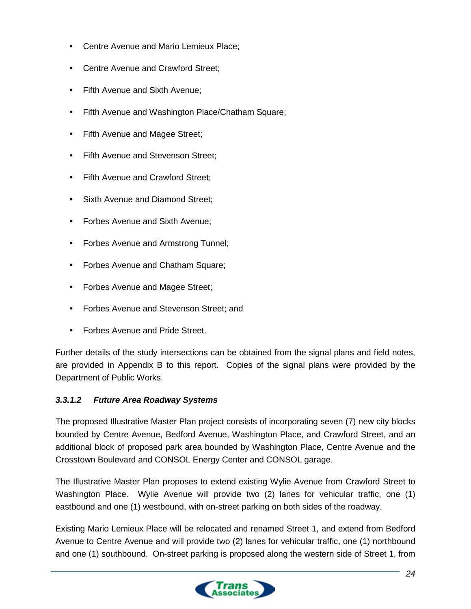- Centre Avenue and Mario Lemieux Place;
- Centre Avenue and Crawford Street;
- Fifth Avenue and Sixth Avenue:
- Fifth Avenue and Washington Place/Chatham Square;
- Fifth Avenue and Magee Street;
- Fifth Avenue and Stevenson Street;
- Fifth Avenue and Crawford Street;
- Sixth Avenue and Diamond Street;
- Forbes Avenue and Sixth Avenue;
- Forbes Avenue and Armstrong Tunnel;
- Forbes Avenue and Chatham Square;
- Forbes Avenue and Magee Street;
- Forbes Avenue and Stevenson Street; and
- Forbes Avenue and Pride Street.

Further details of the study intersections can be obtained from the signal plans and field notes, are provided in Appendix B to this report. Copies of the signal plans were provided by the Department of Public Works.

### <span id="page-30-0"></span>*3.3.1.2 Future Area Roadway Systems*

The proposed Illustrative Master Plan project consists of incorporating seven (7) new city blocks bounded by Centre Avenue, Bedford Avenue, Washington Place, and Crawford Street, and an additional block of proposed park area bounded by Washington Place, Centre Avenue and the Crosstown Boulevard and CONSOL Energy Center and CONSOL garage.

The Illustrative Master Plan proposes to extend existing Wylie Avenue from Crawford Street to Washington Place. Wylie Avenue will provide two (2) lanes for vehicular traffic, one (1) eastbound and one (1) westbound, with on-street parking on both sides of the roadway.

Existing Mario Lemieux Place will be relocated and renamed Street 1, and extend from Bedford Avenue to Centre Avenue and will provide two (2) lanes for vehicular traffic, one (1) northbound and one (1) southbound. On-street parking is proposed along the western side of Street 1, from

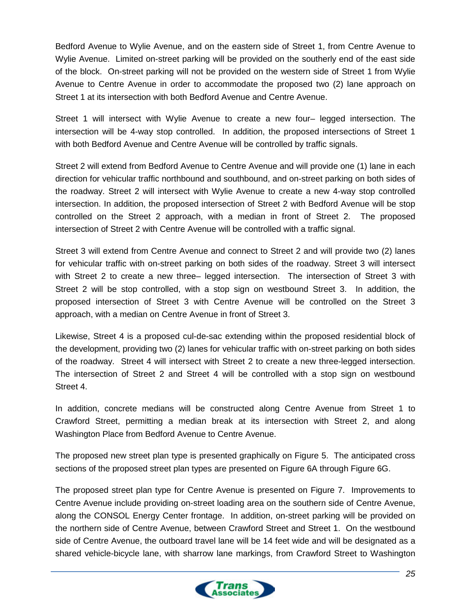Bedford Avenue to Wylie Avenue, and on the eastern side of Street 1, from Centre Avenue to Wylie Avenue. Limited on-street parking will be provided on the southerly end of the east side of the block. On-street parking will not be provided on the western side of Street 1 from Wylie Avenue to Centre Avenue in order to accommodate the proposed two (2) lane approach on Street 1 at its intersection with both Bedford Avenue and Centre Avenue.

Street 1 will intersect with Wylie Avenue to create a new four– legged intersection. The intersection will be 4-way stop controlled. In addition, the proposed intersections of Street 1 with both Bedford Avenue and Centre Avenue will be controlled by traffic signals.

Street 2 will extend from Bedford Avenue to Centre Avenue and will provide one (1) lane in each direction for vehicular traffic northbound and southbound, and on-street parking on both sides of the roadway. Street 2 will intersect with Wylie Avenue to create a new 4-way stop controlled intersection. In addition, the proposed intersection of Street 2 with Bedford Avenue will be stop controlled on the Street 2 approach, with a median in front of Street 2. The proposed intersection of Street 2 with Centre Avenue will be controlled with a traffic signal.

Street 3 will extend from Centre Avenue and connect to Street 2 and will provide two (2) lanes for vehicular traffic with on-street parking on both sides of the roadway. Street 3 will intersect with Street 2 to create a new three– legged intersection. The intersection of Street 3 with Street 2 will be stop controlled, with a stop sign on westbound Street 3. In addition, the proposed intersection of Street 3 with Centre Avenue will be controlled on the Street 3 approach, with a median on Centre Avenue in front of Street 3.

Likewise, Street 4 is a proposed cul-de-sac extending within the proposed residential block of the development, providing two (2) lanes for vehicular traffic with on-street parking on both sides of the roadway. Street 4 will intersect with Street 2 to create a new three-legged intersection. The intersection of Street 2 and Street 4 will be controlled with a stop sign on westbound Street 4.

In addition, concrete medians will be constructed along Centre Avenue from Street 1 to Crawford Street, permitting a median break at its intersection with Street 2, and along Washington Place from Bedford Avenue to Centre Avenue.

The proposed new street plan type is presented graphically on Figure 5. The anticipated cross sections of the proposed street plan types are presented on Figure 6A through Figure 6G.

The proposed street plan type for Centre Avenue is presented on Figure 7. Improvements to Centre Avenue include providing on-street loading area on the southern side of Centre Avenue, along the CONSOL Energy Center frontage. In addition, on-street parking will be provided on the northern side of Centre Avenue, between Crawford Street and Street 1. On the westbound side of Centre Avenue, the outboard travel lane will be 14 feet wide and will be designated as a shared vehicle-bicycle lane, with sharrow lane markings, from Crawford Street to Washington

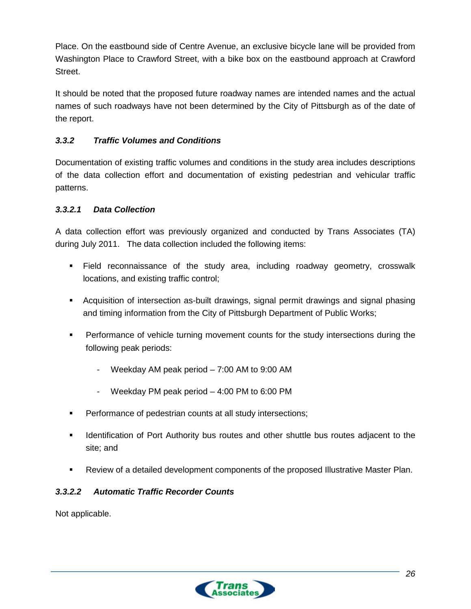Place. On the eastbound side of Centre Avenue, an exclusive bicycle lane will be provided from Washington Place to Crawford Street, with a bike box on the eastbound approach at Crawford Street.

It should be noted that the proposed future roadway names are intended names and the actual names of such roadways have not been determined by the City of Pittsburgh as of the date of the report.

# <span id="page-32-0"></span>*3.3.2 Traffic Volumes and Conditions*

Documentation of existing traffic volumes and conditions in the study area includes descriptions of the data collection effort and documentation of existing pedestrian and vehicular traffic patterns.

# <span id="page-32-1"></span>*3.3.2.1 Data Collection*

A data collection effort was previously organized and conducted by Trans Associates (TA) during July 2011. The data collection included the following items:

- Field reconnaissance of the study area, including roadway geometry, crosswalk locations, and existing traffic control;
- Acquisition of intersection as-built drawings, signal permit drawings and signal phasing and timing information from the City of Pittsburgh Department of Public Works;
- Performance of vehicle turning movement counts for the study intersections during the following peak periods:
	- Weekday AM peak period  $7:00$  AM to 9:00 AM
	- Weekday PM peak period 4:00 PM to 6:00 PM
- **Performance of pedestrian counts at all study intersections;**
- **IDENT** Identification of Port Authority bus routes and other shuttle bus routes adjacent to the site; and
- Review of a detailed development components of the proposed Illustrative Master Plan.

# <span id="page-32-2"></span>*3.3.2.2 Automatic Traffic Recorder Counts*

Not applicable.

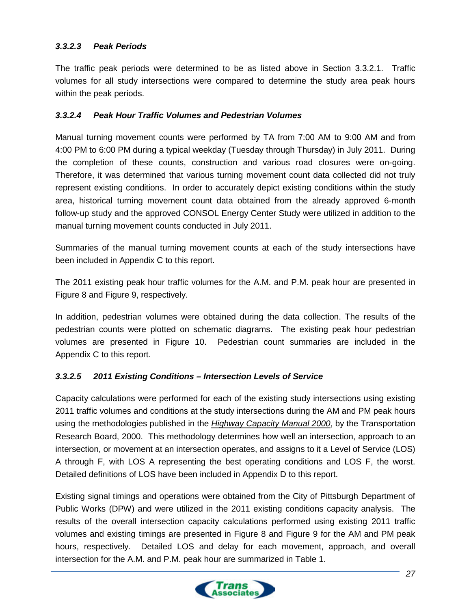### <span id="page-33-0"></span>*3.3.2.3 Peak Periods*

The traffic peak periods were determined to be as listed above in Section 3.3.2.1. Traffic volumes for all study intersections were compared to determine the study area peak hours within the peak periods.

#### <span id="page-33-1"></span>*3.3.2.4 Peak Hour Traffic Volumes and Pedestrian Volumes*

Manual turning movement counts were performed by TA from 7:00 AM to 9:00 AM and from 4:00 PM to 6:00 PM during a typical weekday (Tuesday through Thursday) in July 2011. During the completion of these counts, construction and various road closures were on-going. Therefore, it was determined that various turning movement count data collected did not truly represent existing conditions. In order to accurately depict existing conditions within the study area, historical turning movement count data obtained from the already approved 6-month follow-up study and the approved CONSOL Energy Center Study were utilized in addition to the manual turning movement counts conducted in July 2011.

Summaries of the manual turning movement counts at each of the study intersections have been included in Appendix C to this report.

The 2011 existing peak hour traffic volumes for the A.M. and P.M. peak hour are presented in Figure 8 and Figure 9, respectively.

In addition, pedestrian volumes were obtained during the data collection. The results of the pedestrian counts were plotted on schematic diagrams. The existing peak hour pedestrian volumes are presented in Figure 10. Pedestrian count summaries are included in the Appendix C to this report.

### <span id="page-33-2"></span>*3.3.2.5 2011 Existing Conditions – Intersection Levels of Service*

Capacity calculations were performed for each of the existing study intersections using existing 2011 traffic volumes and conditions at the study intersections during the AM and PM peak hours using the methodologies published in the *Highway Capacity Manual 2000*, by the Transportation Research Board, 2000. This methodology determines how well an intersection, approach to an intersection, or movement at an intersection operates, and assigns to it a Level of Service (LOS) A through F, with LOS A representing the best operating conditions and LOS F, the worst. Detailed definitions of LOS have been included in Appendix D to this report.

Existing signal timings and operations were obtained from the City of Pittsburgh Department of Public Works (DPW) and were utilized in the 2011 existing conditions capacity analysis. The results of the overall intersection capacity calculations performed using existing 2011 traffic volumes and existing timings are presented in Figure 8 and Figure 9 for the AM and PM peak hours, respectively. Detailed LOS and delay for each movement, approach, and overall intersection for the A.M. and P.M. peak hour are summarized in Table 1.

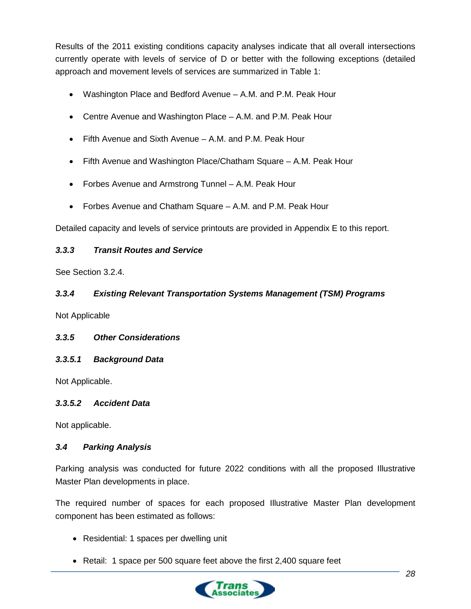Results of the 2011 existing conditions capacity analyses indicate that all overall intersections currently operate with levels of service of D or better with the following exceptions (detailed approach and movement levels of services are summarized in Table 1:

- Washington Place and Bedford Avenue A.M. and P.M. Peak Hour
- Centre Avenue and Washington Place A.M. and P.M. Peak Hour
- Fifth Avenue and Sixth Avenue A.M. and P.M. Peak Hour
- Fifth Avenue and Washington Place/Chatham Square A.M. Peak Hour
- Forbes Avenue and Armstrong Tunnel A.M. Peak Hour
- Forbes Avenue and Chatham Square A.M. and P.M. Peak Hour

Detailed capacity and levels of service printouts are provided in Appendix E to this report.

#### <span id="page-34-0"></span>*3.3.3 Transit Routes and Service*

See Section 3.2.4.

### <span id="page-34-1"></span>*3.3.4 Existing Relevant Transportation Systems Management (TSM) Programs*

Not Applicable

### <span id="page-34-2"></span>*3.3.5 Other Considerations*

#### <span id="page-34-3"></span>*3.3.5.1 Background Data*

Not Applicable.

#### <span id="page-34-4"></span>*3.3.5.2 Accident Data*

Not applicable.

#### <span id="page-34-5"></span>*3.4 Parking Analysis*

Parking analysis was conducted for future 2022 conditions with all the proposed Illustrative Master Plan developments in place.

The required number of spaces for each proposed Illustrative Master Plan development component has been estimated as follows:

- Residential: 1 spaces per dwelling unit
- Retail: 1 space per 500 square feet above the first 2,400 square feet

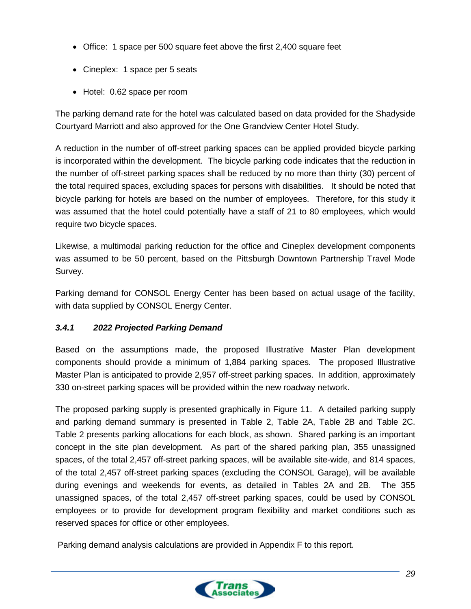- Office: 1 space per 500 square feet above the first 2,400 square feet
- Cineplex: 1 space per 5 seats
- Hotel: 0.62 space per room

The parking demand rate for the hotel was calculated based on data provided for the Shadyside Courtyard Marriott and also approved for the One Grandview Center Hotel Study.

A reduction in the number of off-street parking spaces can be applied provided bicycle parking is incorporated within the development. The bicycle parking code indicates that the reduction in the number of off-street parking spaces shall be reduced by no more than thirty (30) percent of the total required spaces, excluding spaces for persons with disabilities. It should be noted that bicycle parking for hotels are based on the number of employees. Therefore, for this study it was assumed that the hotel could potentially have a staff of 21 to 80 employees, which would require two bicycle spaces.

Likewise, a multimodal parking reduction for the office and Cineplex development components was assumed to be 50 percent, based on the Pittsburgh Downtown Partnership Travel Mode Survey.

Parking demand for CONSOL Energy Center has been based on actual usage of the facility, with data supplied by CONSOL Energy Center.

# <span id="page-35-0"></span>*3.4.1 2022 Projected Parking Demand*

Based on the assumptions made, the proposed Illustrative Master Plan development components should provide a minimum of 1,884 parking spaces. The proposed Illustrative Master Plan is anticipated to provide 2,957 off-street parking spaces. In addition, approximately 330 on-street parking spaces will be provided within the new roadway network.

The proposed parking supply is presented graphically in Figure 11. A detailed parking supply and parking demand summary is presented in Table 2, Table 2A, Table 2B and Table 2C. Table 2 presents parking allocations for each block, as shown. Shared parking is an important concept in the site plan development. As part of the shared parking plan, 355 unassigned spaces, of the total 2,457 off-street parking spaces, will be available site-wide, and 814 spaces, of the total 2,457 off-street parking spaces (excluding the CONSOL Garage), will be available during evenings and weekends for events, as detailed in Tables 2A and 2B. The 355 unassigned spaces, of the total 2,457 off-street parking spaces, could be used by CONSOL employees or to provide for development program flexibility and market conditions such as reserved spaces for office or other employees.

Parking demand analysis calculations are provided in Appendix F to this report.

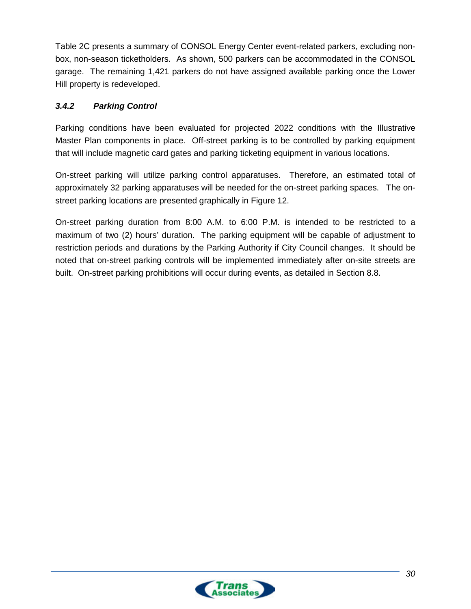Table 2C presents a summary of CONSOL Energy Center event-related parkers, excluding nonbox, non-season ticketholders. As shown, 500 parkers can be accommodated in the CONSOL garage. The remaining 1,421 parkers do not have assigned available parking once the Lower Hill property is redeveloped.

# <span id="page-36-0"></span>*3.4.2 Parking Control*

Parking conditions have been evaluated for projected 2022 conditions with the Illustrative Master Plan components in place. Off-street parking is to be controlled by parking equipment that will include magnetic card gates and parking ticketing equipment in various locations.

On-street parking will utilize parking control apparatuses. Therefore, an estimated total of approximately 32 parking apparatuses will be needed for the on-street parking spaces. The onstreet parking locations are presented graphically in Figure 12.

On-street parking duration from 8:00 A.M. to 6:00 P.M. is intended to be restricted to a maximum of two (2) hours' duration. The parking equipment will be capable of adjustment to restriction periods and durations by the Parking Authority if City Council changes. It should be noted that on-street parking controls will be implemented immediately after on-site streets are built. On-street parking prohibitions will occur during events, as detailed in Section 8.8.

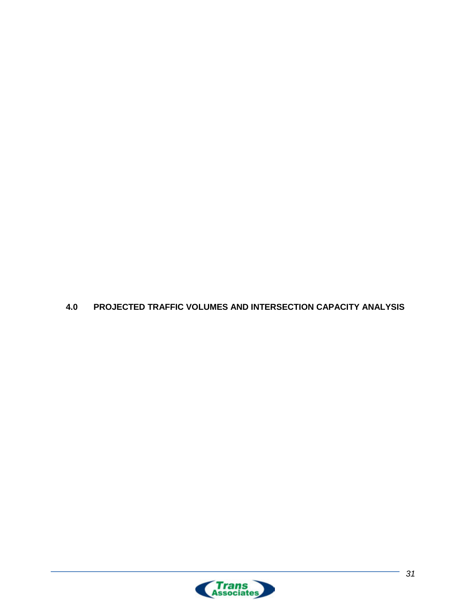<span id="page-37-0"></span>

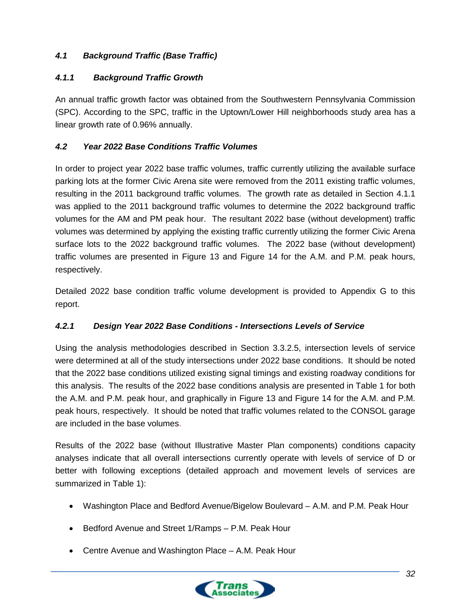# <span id="page-38-0"></span>*4.1 Background Traffic (Base Traffic)*

# <span id="page-38-1"></span>*4.1.1 Background Traffic Growth*

An annual traffic growth factor was obtained from the Southwestern Pennsylvania Commission (SPC). According to the SPC, traffic in the Uptown/Lower Hill neighborhoods study area has a linear growth rate of 0.96% annually.

# <span id="page-38-2"></span>*4.2 Year 2022 Base Conditions Traffic Volumes*

In order to project year 2022 base traffic volumes, traffic currently utilizing the available surface parking lots at the former Civic Arena site were removed from the 2011 existing traffic volumes, resulting in the 2011 background traffic volumes. The growth rate as detailed in Section 4.1.1 was applied to the 2011 background traffic volumes to determine the 2022 background traffic volumes for the AM and PM peak hour. The resultant 2022 base (without development) traffic volumes was determined by applying the existing traffic currently utilizing the former Civic Arena surface lots to the 2022 background traffic volumes. The 2022 base (without development) traffic volumes are presented in Figure 13 and Figure 14 for the A.M. and P.M. peak hours, respectively.

Detailed 2022 base condition traffic volume development is provided to Appendix G to this report.

# <span id="page-38-3"></span>*4.2.1 Design Year 2022 Base Conditions - Intersections Levels of Service*

Using the analysis methodologies described in Section 3.3.2.5, intersection levels of service were determined at all of the study intersections under 2022 base conditions. It should be noted that the 2022 base conditions utilized existing signal timings and existing roadway conditions for this analysis. The results of the 2022 base conditions analysis are presented in Table 1 for both the A.M. and P.M. peak hour, and graphically in Figure 13 and Figure 14 for the A.M. and P.M. peak hours, respectively. It should be noted that traffic volumes related to the CONSOL garage are included in the base volumes.

Results of the 2022 base (without Illustrative Master Plan components) conditions capacity analyses indicate that all overall intersections currently operate with levels of service of D or better with following exceptions (detailed approach and movement levels of services are summarized in Table 1):

- Washington Place and Bedford Avenue/Bigelow Boulevard A.M. and P.M. Peak Hour
- Bedford Avenue and Street 1/Ramps P.M. Peak Hour
- Centre Avenue and Washington Place A.M. Peak Hour

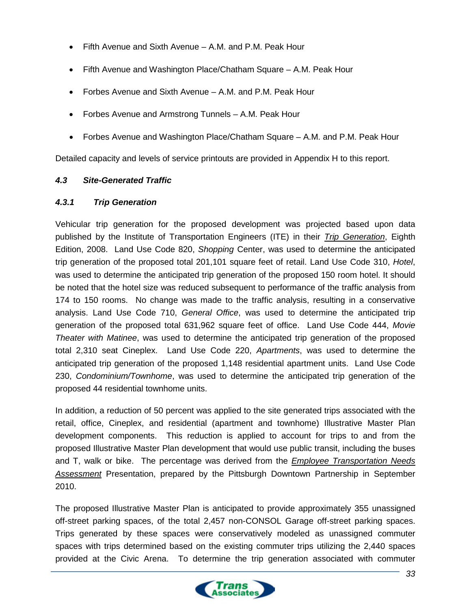- Fifth Avenue and Sixth Avenue A.M. and P.M. Peak Hour
- Fifth Avenue and Washington Place/Chatham Square A.M. Peak Hour
- Forbes Avenue and Sixth Avenue A.M. and P.M. Peak Hour
- Forbes Avenue and Armstrong Tunnels A.M. Peak Hour
- Forbes Avenue and Washington Place/Chatham Square A.M. and P.M. Peak Hour

Detailed capacity and levels of service printouts are provided in Appendix H to this report.

### <span id="page-39-0"></span>*4.3 Site-Generated Traffic*

### <span id="page-39-1"></span>*4.3.1 Trip Generation*

Vehicular trip generation for the proposed development was projected based upon data published by the Institute of Transportation Engineers (ITE) in their *Trip Generation*, Eighth Edition, 2008. Land Use Code 820, *Shopping* Center, was used to determine the anticipated trip generation of the proposed total 201,101 square feet of retail. Land Use Code 310, *Hotel*, was used to determine the anticipated trip generation of the proposed 150 room hotel. It should be noted that the hotel size was reduced subsequent to performance of the traffic analysis from 174 to 150 rooms. No change was made to the traffic analysis, resulting in a conservative analysis. Land Use Code 710, *General Office*, was used to determine the anticipated trip generation of the proposed total 631,962 square feet of office. Land Use Code 444, *Movie Theater with Matinee*, was used to determine the anticipated trip generation of the proposed total 2,310 seat Cineplex. Land Use Code 220, *Apartments*, was used to determine the anticipated trip generation of the proposed 1,148 residential apartment units. Land Use Code 230, *Condominium/Townhome*, was used to determine the anticipated trip generation of the proposed 44 residential townhome units.

In addition, a reduction of 50 percent was applied to the site generated trips associated with the retail, office, Cineplex, and residential (apartment and townhome) Illustrative Master Plan development components. This reduction is applied to account for trips to and from the proposed Illustrative Master Plan development that would use public transit, including the buses and T, walk or bike. The percentage was derived from the *Employee Transportation Needs Assessment* Presentation, prepared by the Pittsburgh Downtown Partnership in September 2010.

The proposed Illustrative Master Plan is anticipated to provide approximately 355 unassigned off-street parking spaces, of the total 2,457 non-CONSOL Garage off-street parking spaces. Trips generated by these spaces were conservatively modeled as unassigned commuter spaces with trips determined based on the existing commuter trips utilizing the 2,440 spaces provided at the Civic Arena. To determine the trip generation associated with commuter

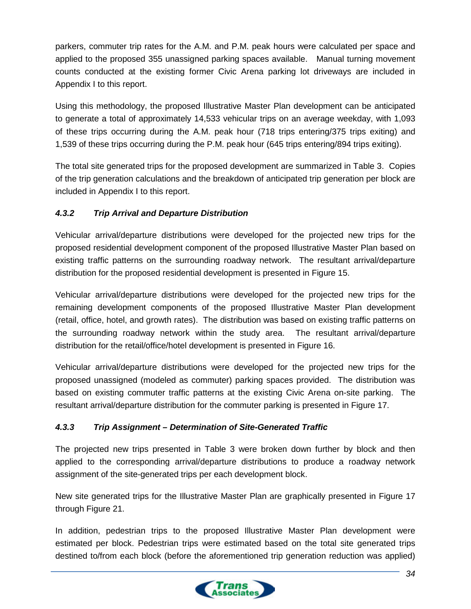parkers, commuter trip rates for the A.M. and P.M. peak hours were calculated per space and applied to the proposed 355 unassigned parking spaces available. Manual turning movement counts conducted at the existing former Civic Arena parking lot driveways are included in Appendix I to this report.

Using this methodology, the proposed Illustrative Master Plan development can be anticipated to generate a total of approximately 14,533 vehicular trips on an average weekday, with 1,093 of these trips occurring during the A.M. peak hour (718 trips entering/375 trips exiting) and 1,539 of these trips occurring during the P.M. peak hour (645 trips entering/894 trips exiting).

The total site generated trips for the proposed development are summarized in Table 3. Copies of the trip generation calculations and the breakdown of anticipated trip generation per block are included in Appendix I to this report.

# <span id="page-40-0"></span>*4.3.2 Trip Arrival and Departure Distribution*

Vehicular arrival/departure distributions were developed for the projected new trips for the proposed residential development component of the proposed Illustrative Master Plan based on existing traffic patterns on the surrounding roadway network. The resultant arrival/departure distribution for the proposed residential development is presented in Figure 15.

Vehicular arrival/departure distributions were developed for the projected new trips for the remaining development components of the proposed Illustrative Master Plan development (retail, office, hotel, and growth rates). The distribution was based on existing traffic patterns on the surrounding roadway network within the study area. The resultant arrival/departure distribution for the retail/office/hotel development is presented in Figure 16.

Vehicular arrival/departure distributions were developed for the projected new trips for the proposed unassigned (modeled as commuter) parking spaces provided. The distribution was based on existing commuter traffic patterns at the existing Civic Arena on-site parking. The resultant arrival/departure distribution for the commuter parking is presented in Figure 17.

# <span id="page-40-1"></span>*4.3.3 Trip Assignment – Determination of Site-Generated Traffic*

The projected new trips presented in Table 3 were broken down further by block and then applied to the corresponding arrival/departure distributions to produce a roadway network assignment of the site-generated trips per each development block.

New site generated trips for the Illustrative Master Plan are graphically presented in Figure 17 through Figure 21.

In addition, pedestrian trips to the proposed Illustrative Master Plan development were estimated per block. Pedestrian trips were estimated based on the total site generated trips destined to/from each block (before the aforementioned trip generation reduction was applied)

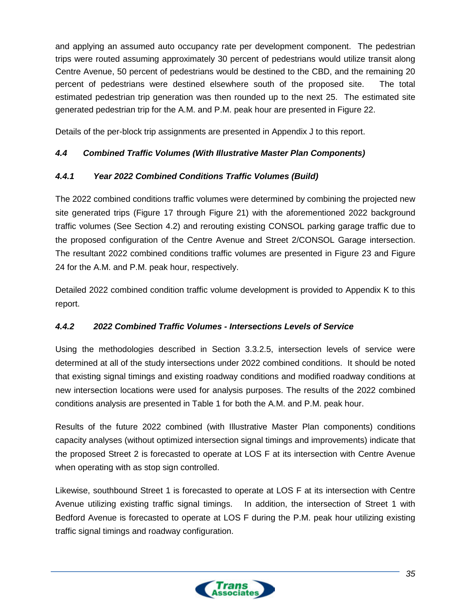and applying an assumed auto occupancy rate per development component. The pedestrian trips were routed assuming approximately 30 percent of pedestrians would utilize transit along Centre Avenue, 50 percent of pedestrians would be destined to the CBD, and the remaining 20 percent of pedestrians were destined elsewhere south of the proposed site. The total estimated pedestrian trip generation was then rounded up to the next 25. The estimated site generated pedestrian trip for the A.M. and P.M. peak hour are presented in Figure 22.

Details of the per-block trip assignments are presented in Appendix J to this report.

# <span id="page-41-0"></span>*4.4 Combined Traffic Volumes (With Illustrative Master Plan Components)*

### <span id="page-41-1"></span>*4.4.1 Year 2022 Combined Conditions Traffic Volumes (Build)*

The 2022 combined conditions traffic volumes were determined by combining the projected new site generated trips (Figure 17 through Figure 21) with the aforementioned 2022 background traffic volumes (See Section 4.2) and rerouting existing CONSOL parking garage traffic due to the proposed configuration of the Centre Avenue and Street 2/CONSOL Garage intersection. The resultant 2022 combined conditions traffic volumes are presented in Figure 23 and Figure 24 for the A.M. and P.M. peak hour, respectively.

Detailed 2022 combined condition traffic volume development is provided to Appendix K to this report.

### <span id="page-41-2"></span>*4.4.2 2022 Combined Traffic Volumes - Intersections Levels of Service*

Using the methodologies described in Section 3.3.2.5, intersection levels of service were determined at all of the study intersections under 2022 combined conditions. It should be noted that existing signal timings and existing roadway conditions and modified roadway conditions at new intersection locations were used for analysis purposes. The results of the 2022 combined conditions analysis are presented in Table 1 for both the A.M. and P.M. peak hour.

Results of the future 2022 combined (with Illustrative Master Plan components) conditions capacity analyses (without optimized intersection signal timings and improvements) indicate that the proposed Street 2 is forecasted to operate at LOS F at its intersection with Centre Avenue when operating with as stop sign controlled.

Likewise, southbound Street 1 is forecasted to operate at LOS F at its intersection with Centre Avenue utilizing existing traffic signal timings. In addition, the intersection of Street 1 with Bedford Avenue is forecasted to operate at LOS F during the P.M. peak hour utilizing existing traffic signal timings and roadway configuration.

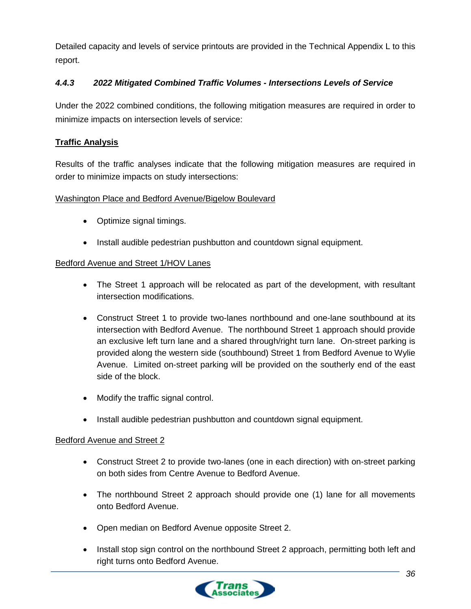Detailed capacity and levels of service printouts are provided in the Technical Appendix L to this report.

# <span id="page-42-0"></span>*4.4.3 2022 Mitigated Combined Traffic Volumes - Intersections Levels of Service*

Under the 2022 combined conditions, the following mitigation measures are required in order to minimize impacts on intersection levels of service:

### **Traffic Analysis**

Results of the traffic analyses indicate that the following mitigation measures are required in order to minimize impacts on study intersections:

### Washington Place and Bedford Avenue/Bigelow Boulevard

- Optimize signal timings.
- Install audible pedestrian pushbutton and countdown signal equipment.

### Bedford Avenue and Street 1/HOV Lanes

- The Street 1 approach will be relocated as part of the development, with resultant intersection modifications.
- Construct Street 1 to provide two-lanes northbound and one-lane southbound at its intersection with Bedford Avenue. The northbound Street 1 approach should provide an exclusive left turn lane and a shared through/right turn lane. On-street parking is provided along the western side (southbound) Street 1 from Bedford Avenue to Wylie Avenue. Limited on-street parking will be provided on the southerly end of the east side of the block.
- Modify the traffic signal control.
- Install audible pedestrian pushbutton and countdown signal equipment.

### Bedford Avenue and Street 2

- Construct Street 2 to provide two-lanes (one in each direction) with on-street parking on both sides from Centre Avenue to Bedford Avenue.
- The northbound Street 2 approach should provide one (1) lane for all movements onto Bedford Avenue.
- Open median on Bedford Avenue opposite Street 2.
- Install stop sign control on the northbound Street 2 approach, permitting both left and right turns onto Bedford Avenue.

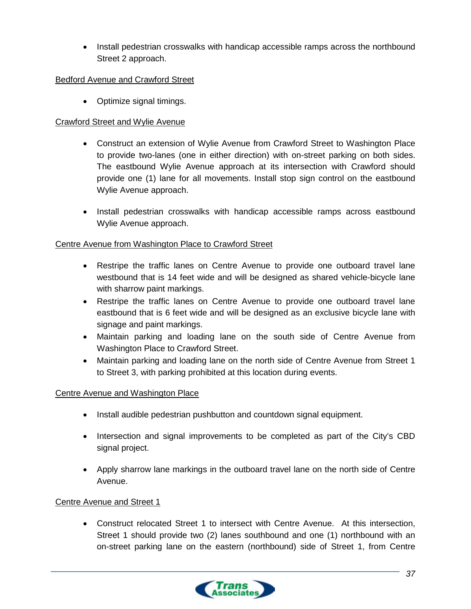• Install pedestrian crosswalks with handicap accessible ramps across the northbound Street 2 approach.

### Bedford Avenue and Crawford Street

• Optimize signal timings.

### Crawford Street and Wylie Avenue

- Construct an extension of Wylie Avenue from Crawford Street to Washington Place to provide two-lanes (one in either direction) with on-street parking on both sides. The eastbound Wylie Avenue approach at its intersection with Crawford should provide one (1) lane for all movements. Install stop sign control on the eastbound Wylie Avenue approach.
- Install pedestrian crosswalks with handicap accessible ramps across eastbound Wylie Avenue approach.

### Centre Avenue from Washington Place to Crawford Street

- Restripe the traffic lanes on Centre Avenue to provide one outboard travel lane westbound that is 14 feet wide and will be designed as shared vehicle-bicycle lane with sharrow paint markings.
- Restripe the traffic lanes on Centre Avenue to provide one outboard travel lane eastbound that is 6 feet wide and will be designed as an exclusive bicycle lane with signage and paint markings.
- Maintain parking and loading lane on the south side of Centre Avenue from Washington Place to Crawford Street.
- Maintain parking and loading lane on the north side of Centre Avenue from Street 1 to Street 3, with parking prohibited at this location during events.

### Centre Avenue and Washington Place

- Install audible pedestrian pushbutton and countdown signal equipment.
- Intersection and signal improvements to be completed as part of the City's CBD signal project.
- Apply sharrow lane markings in the outboard travel lane on the north side of Centre Avenue.

### Centre Avenue and Street 1

• Construct relocated Street 1 to intersect with Centre Avenue. At this intersection, Street 1 should provide two (2) lanes southbound and one (1) northbound with an on-street parking lane on the eastern (northbound) side of Street 1, from Centre

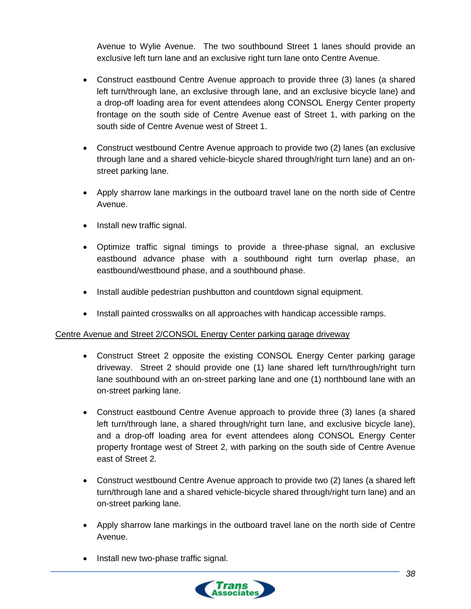Avenue to Wylie Avenue. The two southbound Street 1 lanes should provide an exclusive left turn lane and an exclusive right turn lane onto Centre Avenue.

- Construct eastbound Centre Avenue approach to provide three (3) lanes (a shared left turn/through lane, an exclusive through lane, and an exclusive bicycle lane) and a drop-off loading area for event attendees along CONSOL Energy Center property frontage on the south side of Centre Avenue east of Street 1, with parking on the south side of Centre Avenue west of Street 1.
- Construct westbound Centre Avenue approach to provide two (2) lanes (an exclusive through lane and a shared vehicle-bicycle shared through/right turn lane) and an onstreet parking lane.
- Apply sharrow lane markings in the outboard travel lane on the north side of Centre Avenue.
- Install new traffic signal.
- Optimize traffic signal timings to provide a three-phase signal, an exclusive eastbound advance phase with a southbound right turn overlap phase, an eastbound/westbound phase, and a southbound phase.
- Install audible pedestrian pushbutton and countdown signal equipment.
- Install painted crosswalks on all approaches with handicap accessible ramps.

### Centre Avenue and Street 2/CONSOL Energy Center parking garage driveway

- Construct Street 2 opposite the existing CONSOL Energy Center parking garage driveway. Street 2 should provide one (1) lane shared left turn/through/right turn lane southbound with an on-street parking lane and one (1) northbound lane with an on-street parking lane.
- Construct eastbound Centre Avenue approach to provide three (3) lanes (a shared left turn/through lane, a shared through/right turn lane, and exclusive bicycle lane), and a drop-off loading area for event attendees along CONSOL Energy Center property frontage west of Street 2, with parking on the south side of Centre Avenue east of Street 2.
- Construct westbound Centre Avenue approach to provide two (2) lanes (a shared left turn/through lane and a shared vehicle-bicycle shared through/right turn lane) and an on-street parking lane.
- Apply sharrow lane markings in the outboard travel lane on the north side of Centre Avenue.
- Install new two-phase traffic signal.

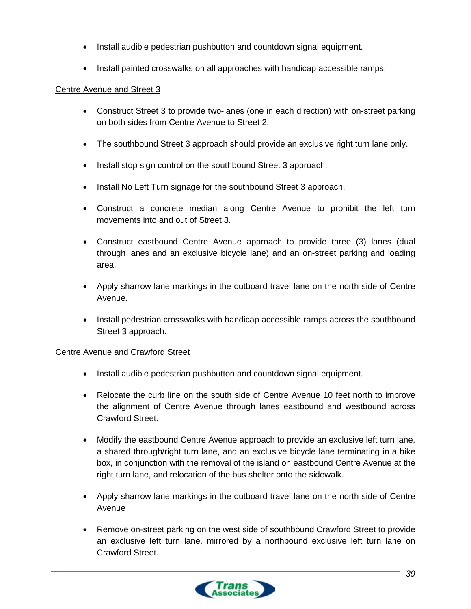- Install audible pedestrian pushbutton and countdown signal equipment.
- Install painted crosswalks on all approaches with handicap accessible ramps.

#### Centre Avenue and Street 3

- Construct Street 3 to provide two-lanes (one in each direction) with on-street parking on both sides from Centre Avenue to Street 2.
- The southbound Street 3 approach should provide an exclusive right turn lane only.
- Install stop sign control on the southbound Street 3 approach.
- Install No Left Turn signage for the southbound Street 3 approach.
- Construct a concrete median along Centre Avenue to prohibit the left turn movements into and out of Street 3.
- Construct eastbound Centre Avenue approach to provide three (3) lanes (dual through lanes and an exclusive bicycle lane) and an on-street parking and loading area,
- Apply sharrow lane markings in the outboard travel lane on the north side of Centre Avenue.
- Install pedestrian crosswalks with handicap accessible ramps across the southbound Street 3 approach.

#### Centre Avenue and Crawford Street

- Install audible pedestrian pushbutton and countdown signal equipment.
- Relocate the curb line on the south side of Centre Avenue 10 feet north to improve the alignment of Centre Avenue through lanes eastbound and westbound across Crawford Street.
- Modify the eastbound Centre Avenue approach to provide an exclusive left turn lane, a shared through/right turn lane, and an exclusive bicycle lane terminating in a bike box, in conjunction with the removal of the island on eastbound Centre Avenue at the right turn lane, and relocation of the bus shelter onto the sidewalk.
- Apply sharrow lane markings in the outboard travel lane on the north side of Centre Avenue
- Remove on-street parking on the west side of southbound Crawford Street to provide an exclusive left turn lane, mirrored by a northbound exclusive left turn lane on Crawford Street.

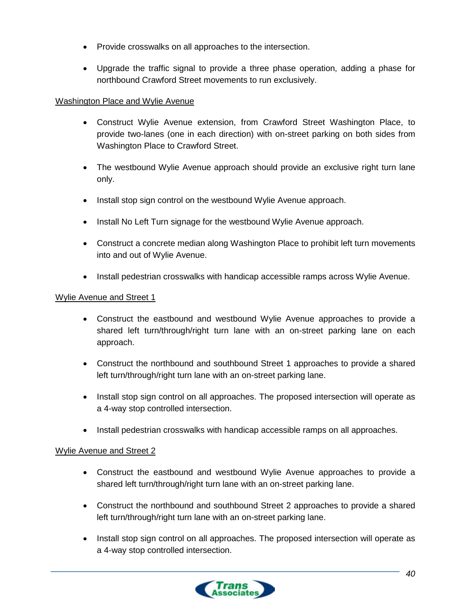- Provide crosswalks on all approaches to the intersection.
- Upgrade the traffic signal to provide a three phase operation, adding a phase for northbound Crawford Street movements to run exclusively.

### Washington Place and Wylie Avenue

- Construct Wylie Avenue extension, from Crawford Street Washington Place, to provide two-lanes (one in each direction) with on-street parking on both sides from Washington Place to Crawford Street.
- The westbound Wylie Avenue approach should provide an exclusive right turn lane only.
- Install stop sign control on the westbound Wylie Avenue approach.
- Install No Left Turn signage for the westbound Wylie Avenue approach.
- Construct a concrete median along Washington Place to prohibit left turn movements into and out of Wylie Avenue.
- Install pedestrian crosswalks with handicap accessible ramps across Wylie Avenue.

#### Wylie Avenue and Street 1

- Construct the eastbound and westbound Wylie Avenue approaches to provide a shared left turn/through/right turn lane with an on-street parking lane on each approach.
- Construct the northbound and southbound Street 1 approaches to provide a shared left turn/through/right turn lane with an on-street parking lane.
- Install stop sign control on all approaches. The proposed intersection will operate as a 4-way stop controlled intersection.
- Install pedestrian crosswalks with handicap accessible ramps on all approaches.

#### Wylie Avenue and Street 2

- Construct the eastbound and westbound Wylie Avenue approaches to provide a shared left turn/through/right turn lane with an on-street parking lane.
- Construct the northbound and southbound Street 2 approaches to provide a shared left turn/through/right turn lane with an on-street parking lane.
- Install stop sign control on all approaches. The proposed intersection will operate as a 4-way stop controlled intersection.

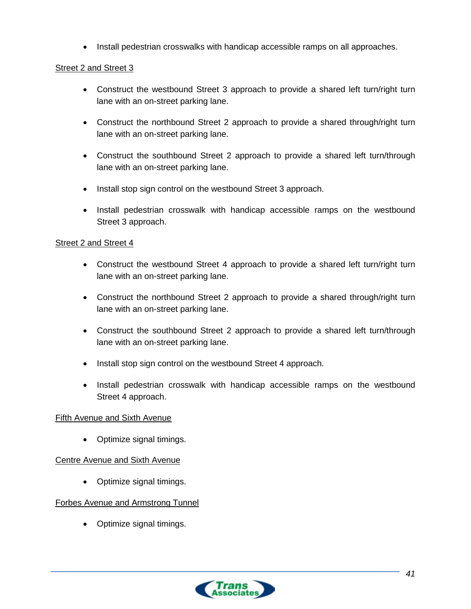• Install pedestrian crosswalks with handicap accessible ramps on all approaches.

#### Street 2 and Street 3

- Construct the westbound Street 3 approach to provide a shared left turn/right turn lane with an on-street parking lane.
- Construct the northbound Street 2 approach to provide a shared through/right turn lane with an on-street parking lane.
- Construct the southbound Street 2 approach to provide a shared left turn/through lane with an on-street parking lane.
- Install stop sign control on the westbound Street 3 approach.
- Install pedestrian crosswalk with handicap accessible ramps on the westbound Street 3 approach.

#### Street 2 and Street 4

- Construct the westbound Street 4 approach to provide a shared left turn/right turn lane with an on-street parking lane.
- Construct the northbound Street 2 approach to provide a shared through/right turn lane with an on-street parking lane.
- Construct the southbound Street 2 approach to provide a shared left turn/through lane with an on-street parking lane.
- Install stop sign control on the westbound Street 4 approach.
- Install pedestrian crosswalk with handicap accessible ramps on the westbound Street 4 approach.

#### Fifth Avenue and Sixth Avenue

• Optimize signal timings.

### Centre Avenue and Sixth Avenue

• Optimize signal timings.

### Forbes Avenue and Armstrong Tunnel

• Optimize signal timings.

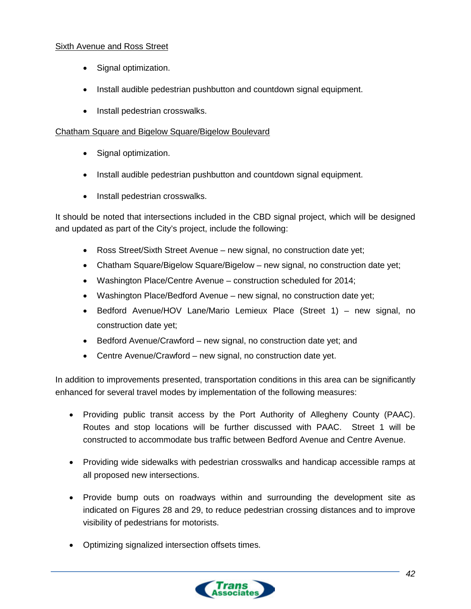### Sixth Avenue and Ross Street

- Signal optimization.
- Install audible pedestrian pushbutton and countdown signal equipment.
- Install pedestrian crosswalks.

#### Chatham Square and Bigelow Square/Bigelow Boulevard

- Signal optimization.
- Install audible pedestrian pushbutton and countdown signal equipment.
- Install pedestrian crosswalks.

It should be noted that intersections included in the CBD signal project, which will be designed and updated as part of the City's project, include the following:

- Ross Street/Sixth Street Avenue new signal, no construction date yet;
- Chatham Square/Bigelow Square/Bigelow new signal, no construction date yet;
- Washington Place/Centre Avenue construction scheduled for 2014;
- Washington Place/Bedford Avenue new signal, no construction date yet;
- Bedford Avenue/HOV Lane/Mario Lemieux Place (Street 1) new signal, no construction date yet;
- Bedford Avenue/Crawford new signal, no construction date yet; and
- Centre Avenue/Crawford new signal, no construction date yet.

In addition to improvements presented, transportation conditions in this area can be significantly enhanced for several travel modes by implementation of the following measures:

- Providing public transit access by the Port Authority of Allegheny County (PAAC). Routes and stop locations will be further discussed with PAAC. Street 1 will be constructed to accommodate bus traffic between Bedford Avenue and Centre Avenue.
- Providing wide sidewalks with pedestrian crosswalks and handicap accessible ramps at all proposed new intersections.
- Provide bump outs on roadways within and surrounding the development site as indicated on Figures 28 and 29, to reduce pedestrian crossing distances and to improve visibility of pedestrians for motorists.
- Optimizing signalized intersection offsets times.

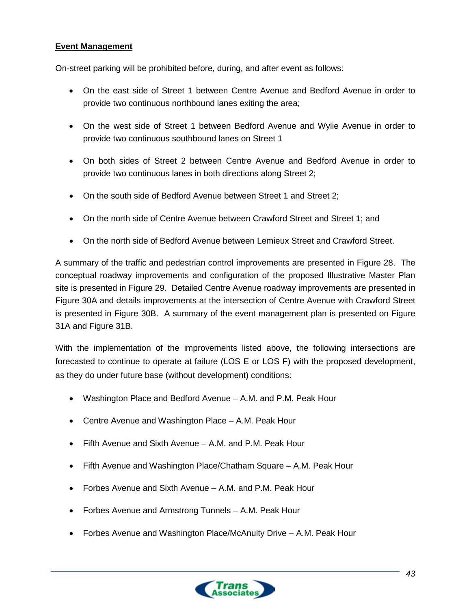### **Event Management**

On-street parking will be prohibited before, during, and after event as follows:

- On the east side of Street 1 between Centre Avenue and Bedford Avenue in order to provide two continuous northbound lanes exiting the area;
- On the west side of Street 1 between Bedford Avenue and Wylie Avenue in order to provide two continuous southbound lanes on Street 1
- On both sides of Street 2 between Centre Avenue and Bedford Avenue in order to provide two continuous lanes in both directions along Street 2;
- On the south side of Bedford Avenue between Street 1 and Street 2;
- On the north side of Centre Avenue between Crawford Street and Street 1; and
- On the north side of Bedford Avenue between Lemieux Street and Crawford Street.

A summary of the traffic and pedestrian control improvements are presented in Figure 28. The conceptual roadway improvements and configuration of the proposed Illustrative Master Plan site is presented in Figure 29. Detailed Centre Avenue roadway improvements are presented in Figure 30A and details improvements at the intersection of Centre Avenue with Crawford Street is presented in Figure 30B. A summary of the event management plan is presented on Figure 31A and Figure 31B.

With the implementation of the improvements listed above, the following intersections are forecasted to continue to operate at failure (LOS E or LOS F) with the proposed development, as they do under future base (without development) conditions:

- Washington Place and Bedford Avenue A.M. and P.M. Peak Hour
- Centre Avenue and Washington Place A.M. Peak Hour
- Fifth Avenue and Sixth Avenue A.M. and P.M. Peak Hour
- Fifth Avenue and Washington Place/Chatham Square A.M. Peak Hour
- Forbes Avenue and Sixth Avenue A.M. and P.M. Peak Hour
- Forbes Avenue and Armstrong Tunnels A.M. Peak Hour
- Forbes Avenue and Washington Place/McAnulty Drive A.M. Peak Hour

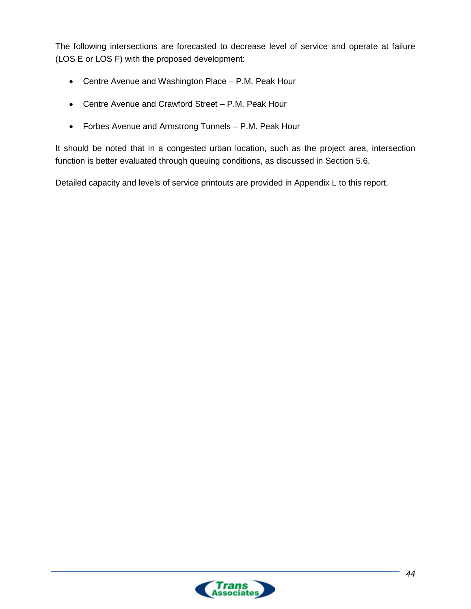The following intersections are forecasted to decrease level of service and operate at failure (LOS E or LOS F) with the proposed development:

- Centre Avenue and Washington Place P.M. Peak Hour
- Centre Avenue and Crawford Street P.M. Peak Hour
- Forbes Avenue and Armstrong Tunnels P.M. Peak Hour

It should be noted that in a congested urban location, such as the project area, intersection function is better evaluated through queuing conditions, as discussed in Section 5.6.

Detailed capacity and levels of service printouts are provided in Appendix L to this report.

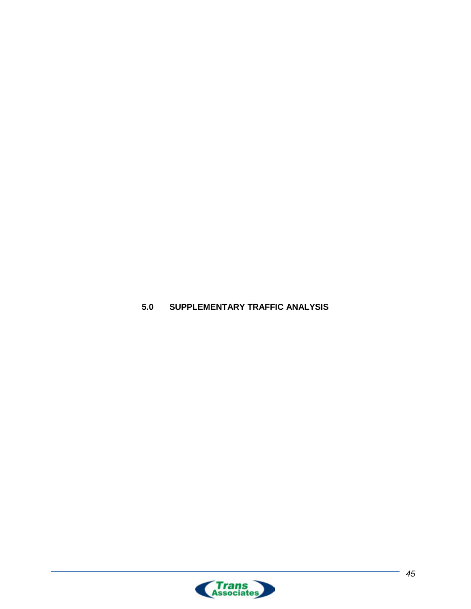

<span id="page-51-0"></span>**5.0 SUPPLEMENTARY TRAFFIC ANALYSIS**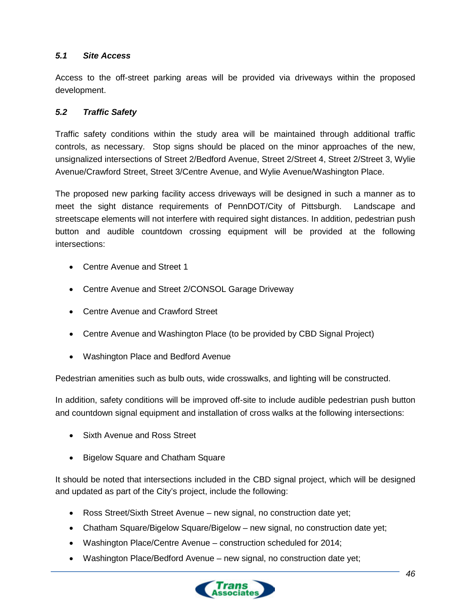### <span id="page-52-0"></span>*5.1 Site Access*

Access to the off-street parking areas will be provided via driveways within the proposed development.

### <span id="page-52-1"></span>*5.2 Traffic Safety*

Traffic safety conditions within the study area will be maintained through additional traffic controls, as necessary. Stop signs should be placed on the minor approaches of the new, unsignalized intersections of Street 2/Bedford Avenue, Street 2/Street 4, Street 2/Street 3, Wylie Avenue/Crawford Street, Street 3/Centre Avenue, and Wylie Avenue/Washington Place.

The proposed new parking facility access driveways will be designed in such a manner as to meet the sight distance requirements of PennDOT/City of Pittsburgh. Landscape and streetscape elements will not interfere with required sight distances. In addition, pedestrian push button and audible countdown crossing equipment will be provided at the following intersections:

- Centre Avenue and Street 1
- Centre Avenue and Street 2/CONSOL Garage Driveway
- Centre Avenue and Crawford Street
- Centre Avenue and Washington Place (to be provided by CBD Signal Project)
- Washington Place and Bedford Avenue

Pedestrian amenities such as bulb outs, wide crosswalks, and lighting will be constructed.

In addition, safety conditions will be improved off-site to include audible pedestrian push button and countdown signal equipment and installation of cross walks at the following intersections:

- Sixth Avenue and Ross Street
- Bigelow Square and Chatham Square

It should be noted that intersections included in the CBD signal project, which will be designed and updated as part of the City's project, include the following:

- Ross Street/Sixth Street Avenue new signal, no construction date yet;
- Chatham Square/Bigelow Square/Bigelow new signal, no construction date yet;
- Washington Place/Centre Avenue construction scheduled for 2014;
- Washington Place/Bedford Avenue new signal, no construction date yet;

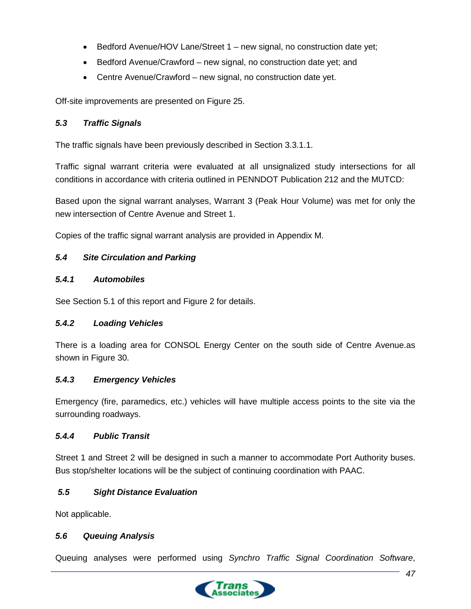- Bedford Avenue/HOV Lane/Street 1 new signal, no construction date yet;
- Bedford Avenue/Crawford new signal, no construction date yet; and
- Centre Avenue/Crawford new signal, no construction date yet.

Off-site improvements are presented on Figure 25.

### <span id="page-53-0"></span>*5.3 Traffic Signals*

The traffic signals have been previously described in Section 3.3.1.1.

Traffic signal warrant criteria were evaluated at all unsignalized study intersections for all conditions in accordance with criteria outlined in PENNDOT Publication 212 and the MUTCD:

Based upon the signal warrant analyses, Warrant 3 (Peak Hour Volume) was met for only the new intersection of Centre Avenue and Street 1.

Copies of the traffic signal warrant analysis are provided in Appendix M.

# <span id="page-53-1"></span>*5.4 Site Circulation and Parking*

### <span id="page-53-2"></span>*5.4.1 Automobiles*

See Section 5.1 of this report and Figure 2 for details.

# <span id="page-53-3"></span>*5.4.2 Loading Vehicles*

There is a loading area for CONSOL Energy Center on the south side of Centre Avenue.as shown in Figure 30.

### <span id="page-53-4"></span>*5.4.3 Emergency Vehicles*

Emergency (fire, paramedics, etc.) vehicles will have multiple access points to the site via the surrounding roadways.

### <span id="page-53-5"></span>*5.4.4 Public Transit*

Street 1 and Street 2 will be designed in such a manner to accommodate Port Authority buses. Bus stop/shelter locations will be the subject of continuing coordination with PAAC.

# <span id="page-53-6"></span>*5.5 Sight Distance Evaluation*

Not applicable.

### <span id="page-53-7"></span>*5.6 Queuing Analysis*

Queuing analyses were performed using *Synchro Traffic Signal Coordination Software*,

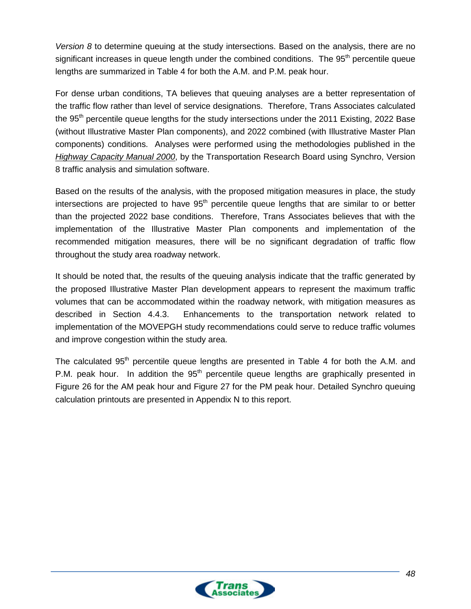*Version 8* to determine queuing at the study intersections. Based on the analysis, there are no significant increases in queue length under the combined conditions. The 95<sup>th</sup> percentile queue lengths are summarized in Table 4 for both the A.M. and P.M. peak hour.

For dense urban conditions, TA believes that queuing analyses are a better representation of the traffic flow rather than level of service designations. Therefore, Trans Associates calculated the 95<sup>th</sup> percentile queue lengths for the study intersections under the 2011 Existing, 2022 Base (without Illustrative Master Plan components), and 2022 combined (with Illustrative Master Plan components) conditions. Analyses were performed using the methodologies published in the *Highway Capacity Manual 2000*, by the Transportation Research Board using Synchro, Version 8 traffic analysis and simulation software.

Based on the results of the analysis, with the proposed mitigation measures in place, the study intersections are projected to have  $95<sup>th</sup>$  percentile queue lengths that are similar to or better than the projected 2022 base conditions. Therefore, Trans Associates believes that with the implementation of the Illustrative Master Plan components and implementation of the recommended mitigation measures, there will be no significant degradation of traffic flow throughout the study area roadway network.

It should be noted that, the results of the queuing analysis indicate that the traffic generated by the proposed Illustrative Master Plan development appears to represent the maximum traffic volumes that can be accommodated within the roadway network, with mitigation measures as described in Section 4.4.3. Enhancements to the transportation network related to implementation of the MOVEPGH study recommendations could serve to reduce traffic volumes and improve congestion within the study area.

The calculated 95<sup>th</sup> percentile queue lengths are presented in Table 4 for both the A.M. and P.M. peak hour. In addition the  $95<sup>th</sup>$  percentile queue lengths are graphically presented in Figure 26 for the AM peak hour and Figure 27 for the PM peak hour. Detailed Synchro queuing calculation printouts are presented in Appendix N to this report.

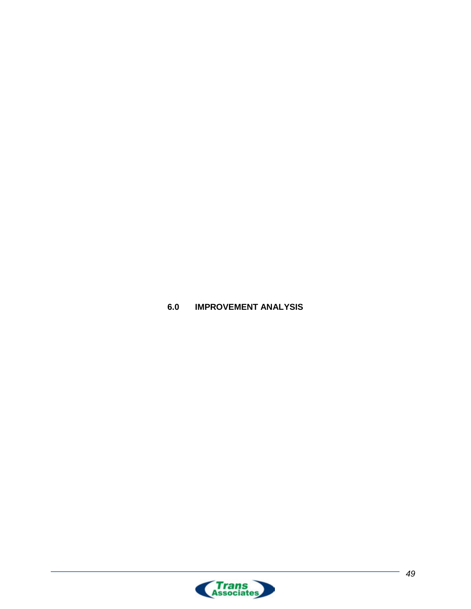<span id="page-55-0"></span>**6.0 IMPROVEMENT ANALYSIS**

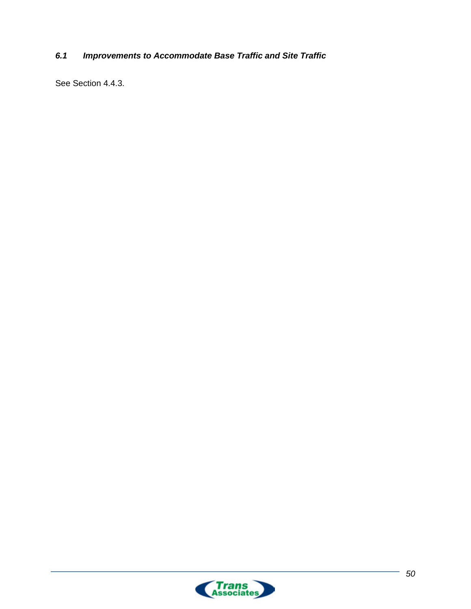# <span id="page-56-0"></span>*6.1 Improvements to Accommodate Base Traffic and Site Traffic*

See Section 4.4.3.

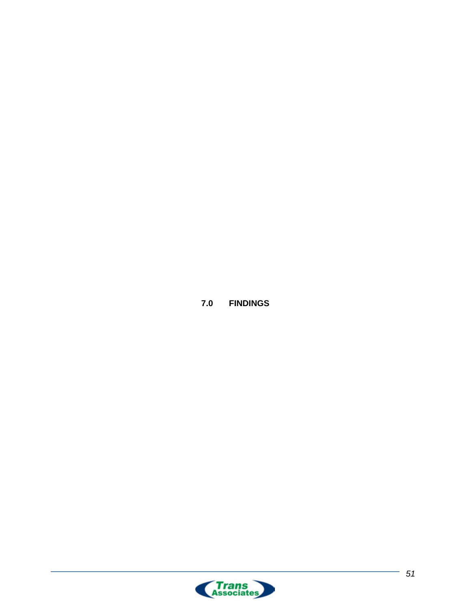**7.0 FINDINGS**

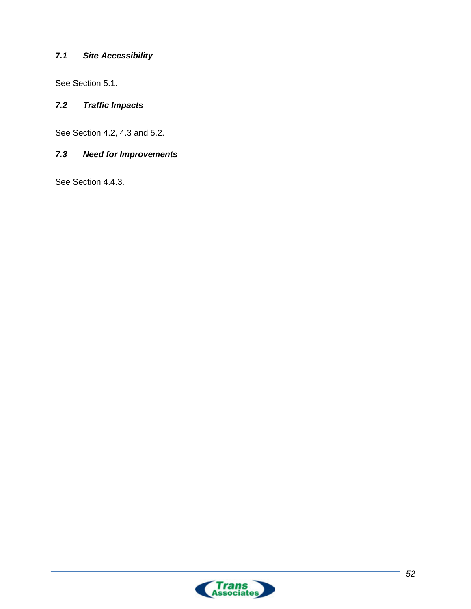# <span id="page-58-0"></span>*7.1 Site Accessibility*

See Section 5.1.

### <span id="page-58-1"></span>*7.2 Traffic Impacts*

See Section 4.2, 4.3 and 5.2.

# <span id="page-58-2"></span>*7.3 Need for Improvements*

See Section 4.4.3.

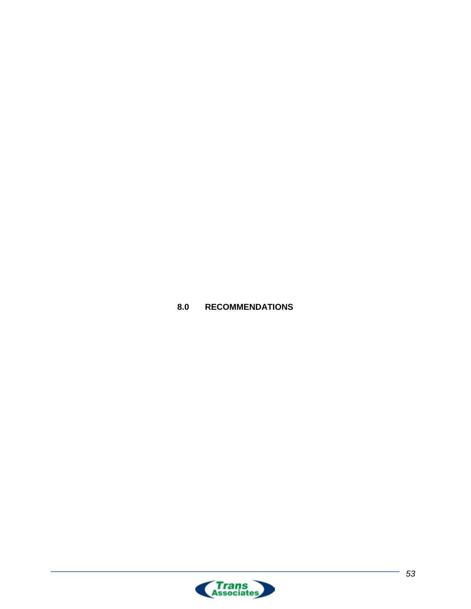<span id="page-59-0"></span>

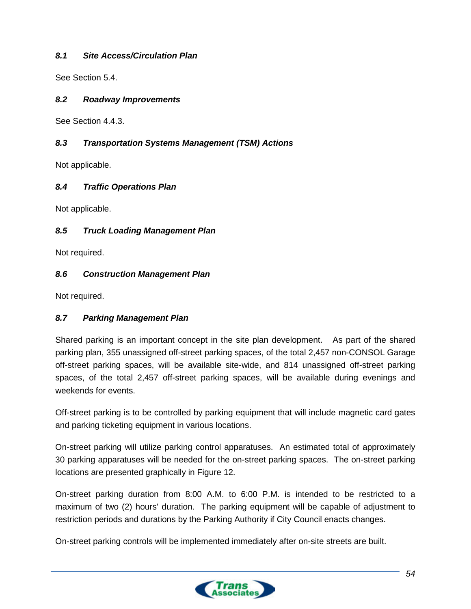### <span id="page-60-0"></span>*8.1 Site Access/Circulation Plan*

See Section 5.4.

#### <span id="page-60-1"></span>*8.2 Roadway Improvements*

See Section 4.4.3.

### <span id="page-60-2"></span>*8.3 Transportation Systems Management (TSM) Actions*

Not applicable.

### <span id="page-60-3"></span>*8.4 Traffic Operations Plan*

Not applicable.

### <span id="page-60-4"></span>*8.5 Truck Loading Management Plan*

Not required.

### <span id="page-60-5"></span>*8.6 Construction Management Plan*

Not required.

### <span id="page-60-6"></span>*8.7 Parking Management Plan*

Shared parking is an important concept in the site plan development. As part of the shared parking plan, 355 unassigned off-street parking spaces, of the total 2,457 non-CONSOL Garage off-street parking spaces, will be available site-wide, and 814 unassigned off-street parking spaces, of the total 2,457 off-street parking spaces, will be available during evenings and weekends for events.

Off-street parking is to be controlled by parking equipment that will include magnetic card gates and parking ticketing equipment in various locations.

On-street parking will utilize parking control apparatuses. An estimated total of approximately 30 parking apparatuses will be needed for the on-street parking spaces. The on-street parking locations are presented graphically in Figure 12.

On-street parking duration from 8:00 A.M. to 6:00 P.M. is intended to be restricted to a maximum of two (2) hours' duration. The parking equipment will be capable of adjustment to restriction periods and durations by the Parking Authority if City Council enacts changes.

On-street parking controls will be implemented immediately after on-site streets are built.

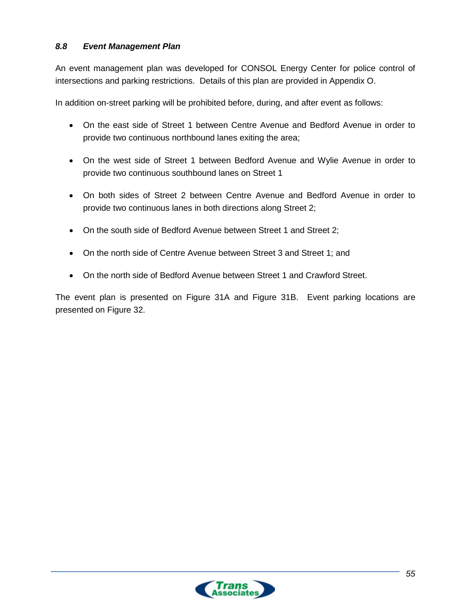### <span id="page-61-0"></span>*8.8 Event Management Plan*

An event management plan was developed for CONSOL Energy Center for police control of intersections and parking restrictions. Details of this plan are provided in Appendix O.

In addition on-street parking will be prohibited before, during, and after event as follows:

- On the east side of Street 1 between Centre Avenue and Bedford Avenue in order to provide two continuous northbound lanes exiting the area;
- On the west side of Street 1 between Bedford Avenue and Wylie Avenue in order to provide two continuous southbound lanes on Street 1
- On both sides of Street 2 between Centre Avenue and Bedford Avenue in order to provide two continuous lanes in both directions along Street 2;
- On the south side of Bedford Avenue between Street 1 and Street 2;
- On the north side of Centre Avenue between Street 3 and Street 1; and
- On the north side of Bedford Avenue between Street 1 and Crawford Street.

The event plan is presented on Figure 31A and Figure 31B. Event parking locations are presented on Figure 32.

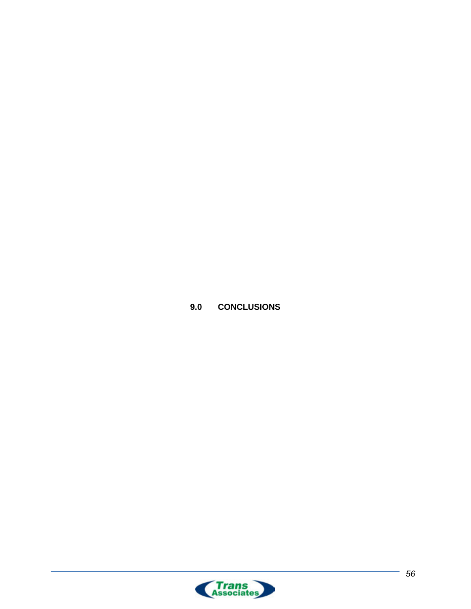

<span id="page-62-0"></span>**9.0 CONCLUSIONS**